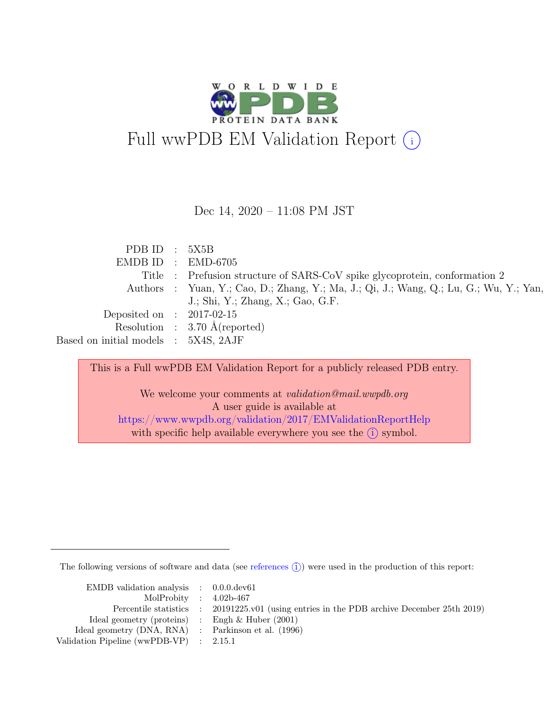

Dec 14, 2020 – 11:08 PM JST

| PDB ID $: 5X5B$                      |                                                                                        |
|--------------------------------------|----------------------------------------------------------------------------------------|
|                                      | EMDB ID : EMD-6705                                                                     |
|                                      | Title : Prefusion structure of SARS-CoV spike glycoprotein, conformation 2             |
|                                      | Authors : Yuan, Y.; Cao, D.; Zhang, Y.; Ma, J.; Qi, J.; Wang, Q.; Lu, G.; Wu, Y.; Yan, |
|                                      | J.; Shi, Y.; Zhang, X.; Gao, G.F.                                                      |
| Deposited on : $2017-02-15$          |                                                                                        |
|                                      | Resolution : $3.70 \text{ Å}$ (reported)                                               |
| Based on initial models : 5X4S, 2AJF |                                                                                        |

This is a Full wwPDB EM Validation Report for a publicly released PDB entry.

We welcome your comments at validation@mail.wwpdb.org A user guide is available at <https://www.wwpdb.org/validation/2017/EMValidationReportHelp> with specific help available everywhere you see the  $(i)$  symbol.

The following versions of software and data (see [references](https://www.wwpdb.org/validation/2017/EMValidationReportHelp#references)  $(i)$ ) were used in the production of this report:

| EMDB validation analysis $\therefore$ 0.0.0.dev61     |                                                                                            |
|-------------------------------------------------------|--------------------------------------------------------------------------------------------|
| MolProbity : $4.02b-467$                              |                                                                                            |
|                                                       | Percentile statistics : 20191225.v01 (using entries in the PDB archive December 25th 2019) |
| Ideal geometry (proteins) : Engh $\&$ Huber (2001)    |                                                                                            |
| Ideal geometry $(DNA, RNA)$ : Parkinson et al. (1996) |                                                                                            |
| Validation Pipeline (wwPDB-VP) : $2.15.1$             |                                                                                            |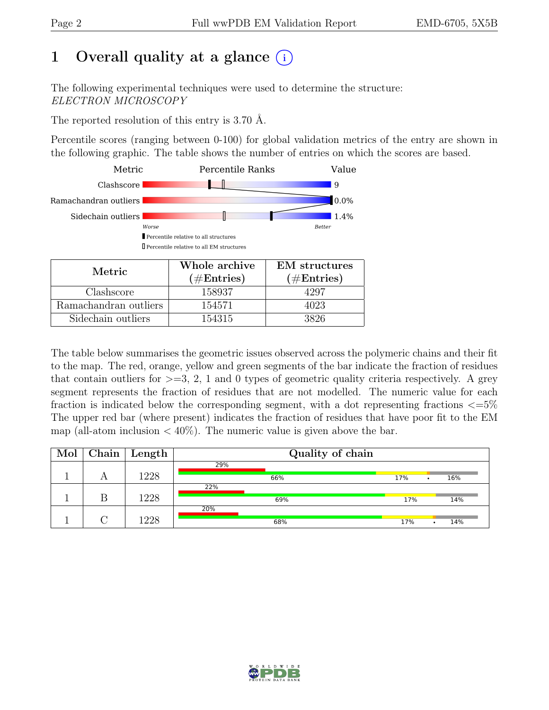# 1 Overall quality at a glance  $(i)$

The following experimental techniques were used to determine the structure: ELECTRON MICROSCOPY

The reported resolution of this entry is 3.70 Å.

Percentile scores (ranging between 0-100) for global validation metrics of the entry are shown in the following graphic. The table shows the number of entries on which the scores are based.



Sidechain outliers  $\boxed{}$  154315 3826

The table below summarises the geometric issues observed across the polymeric chains and their fit to the map. The red, orange, yellow and green segments of the bar indicate the fraction of residues that contain outliers for  $\geq=3, 2, 1$  and 0 types of geometric quality criteria respectively. A grey segment represents the fraction of residues that are not modelled. The numeric value for each fraction is indicated below the corresponding segment, with a dot representing fractions  $\epsilon = 5\%$ The upper red bar (where present) indicates the fraction of residues that have poor fit to the EM map (all-atom inclusion  $\langle 40\% \rangle$ ). The numeric value is given above the bar.

| Mol | $\overline{\text{Chain}}$ Length | Quality of chain |     |  |     |  |  |
|-----|----------------------------------|------------------|-----|--|-----|--|--|
|     |                                  | 29%              |     |  |     |  |  |
|     | 1228                             | 66%              | 17% |  | 16% |  |  |
|     |                                  | 22%              |     |  |     |  |  |
|     | 1228                             | 69%              | 17% |  | 14% |  |  |
|     |                                  | 20%              |     |  |     |  |  |
|     | 1228                             | 68%              | 17% |  | 14% |  |  |

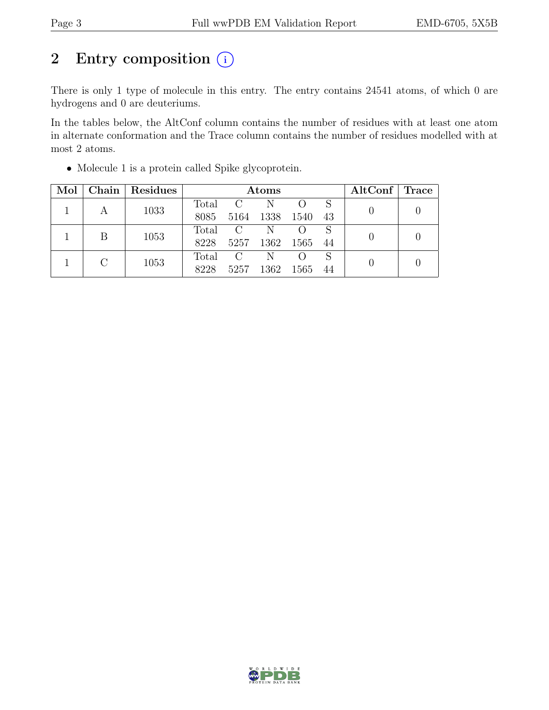# 2 Entry composition (i)

There is only 1 type of molecule in this entry. The entry contains 24541 atoms, of which 0 are hydrogens and 0 are deuteriums.

In the tables below, the AltConf column contains the number of residues with at least one atom in alternate conformation and the Trace column contains the number of residues modelled with at most 2 atoms.

| Mol       |      | Chain   Residues | Atoms   |           |                  |     |  | $\mathrm{AltConf} \mid \mathrm{Trace}$ |  |
|-----------|------|------------------|---------|-----------|------------------|-----|--|----------------------------------------|--|
|           |      | 1033             |         | Total C   | N                |     |  |                                        |  |
|           |      | 8085             | 5164    | 1338      | 1540             | 43  |  |                                        |  |
|           | B    |                  |         | Total C   | N                |     |  |                                        |  |
|           | 1053 | 8228             |         | 5257 1362 | 1565             | -44 |  |                                        |  |
| $\bigcap$ |      |                  | Total C | N         | $\left( \right)$ |     |  |                                        |  |
|           | 1053 | 8228             | 5257    | 1362      | 1565             | 44  |  |                                        |  |

• Molecule 1 is a protein called Spike glycoprotein.

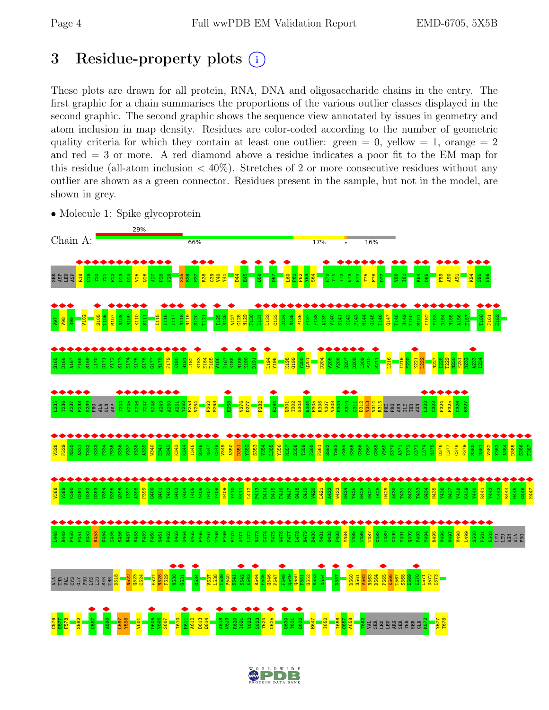# <span id="page-3-0"></span>3 Residue-property plots  $(i)$

These plots are drawn for all protein, RNA, DNA and oligosaccharide chains in the entry. The first graphic for a chain summarises the proportions of the various outlier classes displayed in the second graphic. The second graphic shows the sequence view annotated by issues in geometry and atom inclusion in map density. Residues are color-coded according to the number of geometric quality criteria for which they contain at least one outlier: green  $= 0$ , yellow  $= 1$ , orange  $= 2$ and red = 3 or more. A red diamond above a residue indicates a poor fit to the EM map for this residue (all-atom inclusion  $\langle 40\% \rangle$ ). Stretches of 2 or more consecutive residues without any outlier are shown as a green connector. Residues present in the sample, but not in the model, are shown in grey.

• Molecule 1: Spike glycoprotein



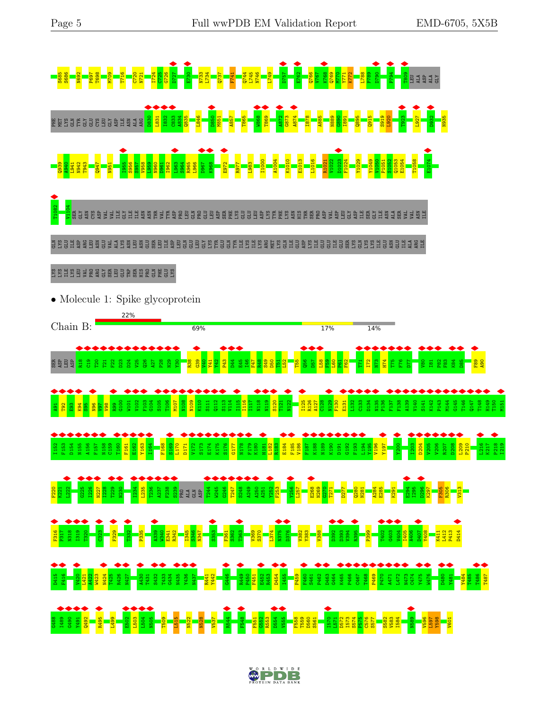

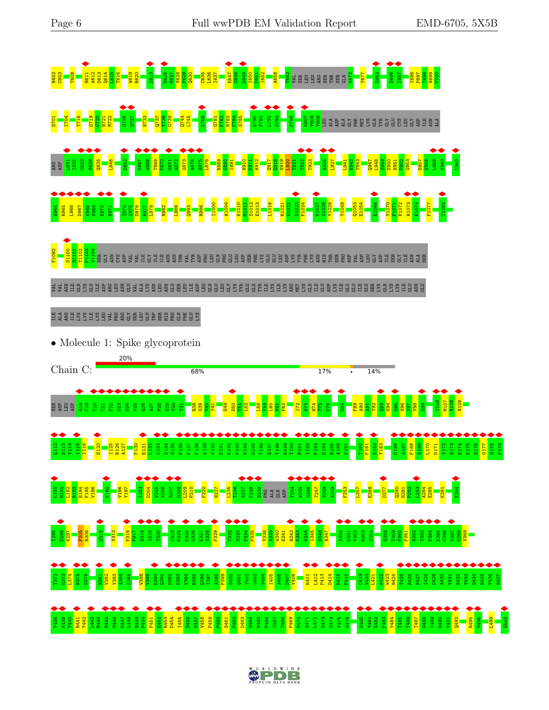

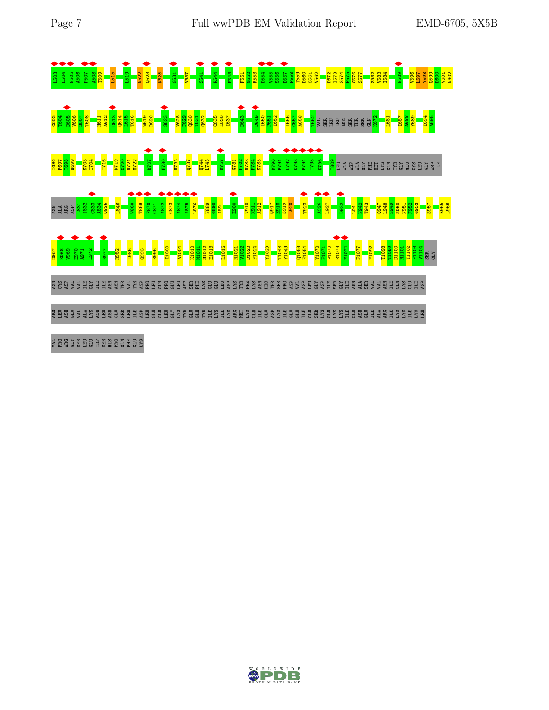

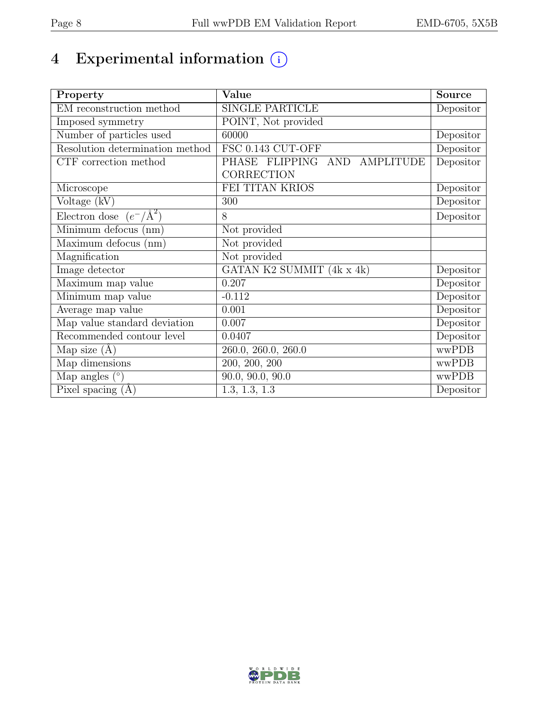# 4 Experimental information  $\bigcirc$

| Property                           | Value                          | <b>Source</b>                  |
|------------------------------------|--------------------------------|--------------------------------|
| EM reconstruction method           | <b>SINGLE PARTICLE</b>         | Depositor                      |
| Imposed symmetry                   | POINT, Not provided            |                                |
| Number of particles used           | 60000                          | Depositor                      |
| Resolution determination method    | FSC 0.143 CUT-OFF              | Depositor                      |
| CTF correction method              | PHASE FLIPPING AND AMPLITUDE   | Depositor                      |
|                                    | CORRECTION                     |                                |
| Microscope                         | FEI TITAN KRIOS                | Depositor                      |
| Voltage (kV)                       | 300                            | Depositor                      |
| Electron dose $(e^-/\text{\AA}^2)$ | 8                              | Depositor                      |
| Minimum defocus (nm)               | Not provided                   |                                |
| Maximum defocus (nm)               | Not provided                   |                                |
| Magnification                      | Not provided                   |                                |
| Image detector                     | GATAN K2 SUMMIT (4k x 4k)      | Depositor                      |
| Maximum map value                  | 0.207                          | Depositor                      |
| Minimum map value                  | $-0.112$                       | Depositor                      |
| Average map value                  | 0.001                          | Depositor                      |
| Map value standard deviation       | 0.007                          | Depositor                      |
| Recommended contour level          | 0.0407                         | $\overline{\text{De}}$ positor |
| Map size $(A)$                     | 260.0, 260.0, 260.0            | wwPDB                          |
| Map dimensions                     | $\overline{200, 200, 200}$     | wwPDB                          |
| Map angles $(°)$                   | $\overline{90.0}$ , 90.0, 90.0 | wwPDB                          |
| Pixel spacing $(A)$                | 1.3, 1.3, 1.3                  | Depositor                      |

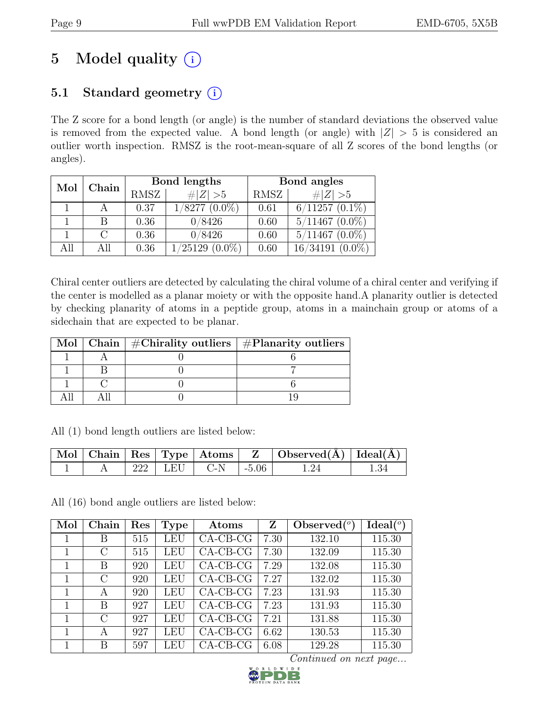# 5 Model quality  $(i)$

## 5.1 Standard geometry  $(i)$

The Z score for a bond length (or angle) is the number of standard deviations the observed value is removed from the expected value. A bond length (or angle) with  $|Z| > 5$  is considered an outlier worth inspection. RMSZ is the root-mean-square of all Z scores of the bond lengths (or angles).

| Mol | ${\rm Chain}$ |             | Bond lengths        | Bond angles |                     |  |
|-----|---------------|-------------|---------------------|-------------|---------------------|--|
|     |               | <b>RMSZ</b> | # $ Z >5$           | RMSZ        | $\# Z  > 5$         |  |
|     |               | 0.37        | 1/8277<br>$(0.0\%)$ | 0.61        | $6/11257$ $(0.1\%)$ |  |
|     | В             | 0.36        | 0/8426              | 0.60        | $5/11467$ $(0.0\%)$ |  |
|     |               | 0.36        | 0/8426              | 0.60        | $5/11467$ $(0.0\%)$ |  |
| All | All           | 0.36        | /25129<br>$(0.0\%)$ | 0.60        | 16/34191            |  |

Chiral center outliers are detected by calculating the chiral volume of a chiral center and verifying if the center is modelled as a planar moiety or with the opposite hand.A planarity outlier is detected by checking planarity of atoms in a peptide group, atoms in a mainchain group or atoms of a sidechain that are expected to be planar.

|  | Mol   Chain   $\#\text{Chirality outliers}$   $\#\text{Planarity outliers}$ |
|--|-----------------------------------------------------------------------------|
|  |                                                                             |
|  |                                                                             |
|  |                                                                             |
|  |                                                                             |

All (1) bond length outliers are listed below:

|  |                   | $\sqrt{ \text{Mol} }$ Chain   Res   Type   Atoms   Z |               | $\vert$ Observed( $\AA$ ) $\vert$ Ideal( $\AA$ ) |  |
|--|-------------------|------------------------------------------------------|---------------|--------------------------------------------------|--|
|  | $222$   LEU   C-N |                                                      | $\vert$ -5.06 |                                                  |  |

All (16) bond angle outliers are listed below:

| Mol | Chain         | Res | <b>Type</b> | Atoms       | Z    | Observed $(°)$ | Ideal <sup>(o)</sup> |
|-----|---------------|-----|-------------|-------------|------|----------------|----------------------|
|     | В             | 515 | LEU         | $CA-CB-CG$  | 7.30 | 132.10         | 115.30               |
|     | С             | 515 | LEU         | $CA$ -CB-CG | 7.30 | 132.09         | 115.30               |
|     | В             | 920 | LEU         | $CA-CB-CG$  | 7.29 | 132.08         | 115.30               |
|     | $\Gamma$      | 920 | LEU         | $CA-CB-CG$  | 7.27 | 132.02         | 115.30               |
|     | А             | 920 | LEU         | $CA-CB-CG$  | 7.23 | 131.93         | 115.30               |
|     | В             | 927 | LEU         | $CA-CB-CG$  | 7.23 | 131.93         | 115.30               |
| 1   | $\mathcal{C}$ | 927 | LEU         | $CA$ -CB-CG | 7.21 | 131.88         | 115.30               |
|     | А             | 927 | LEU         | $CA-CB-CG$  | 6.62 | 130.53         | 115.30               |
|     | В             | 597 | LEU         | $CA-CB-CG$  | 6.08 | 129.28         | 115.30               |

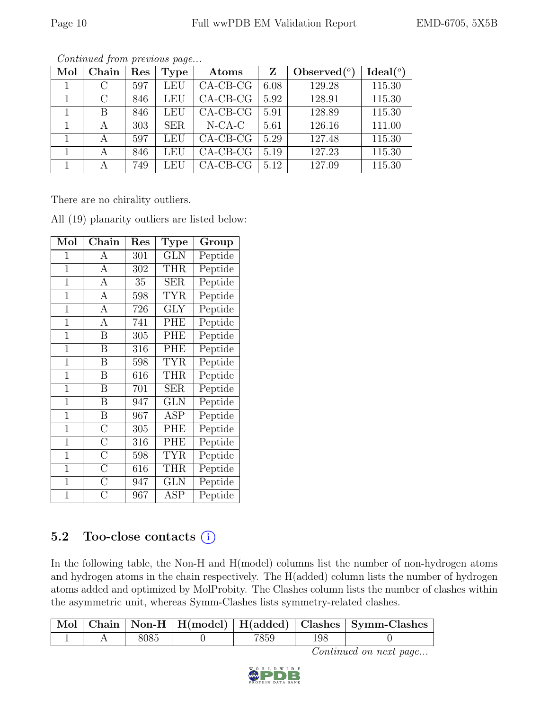| Mol | Chain   | Res | <b>Type</b> | Atoms      | Z    | Observed $({}^{\circ})$ | Ideal $(°)$ |
|-----|---------|-----|-------------|------------|------|-------------------------|-------------|
|     | $\rm C$ | 597 | LEU         | $CA-CB-CG$ | 6.08 | 129.28                  | 115.30      |
|     | С       | 846 | LEU         | $CA-CB-CG$ | 5.92 | 128.91                  | 115.30      |
|     | B       | 846 | LEU         | $CA-CB-CG$ | 5.91 | 128.89                  | 115.30      |
|     | А       | 303 | <b>SER</b>  | $N$ -CA-C  | 5.61 | 126.16                  | 111.00      |
|     | А       | 597 | LEU         | $CA-CB-CG$ | 5.29 | 127.48                  | 115.30      |
|     | A       | 846 | LEU         | $CA-CB-CG$ | 5.19 | 127.23                  | 115.30      |
|     |         | 749 | LEU         | $CA-CB-CG$ | 5.12 | 127.09                  | 115.30      |

There are no chirality outliers.

| Mol            | ${\rm Chain}$           | $\operatorname{Res}% \left\vert \mathcal{H}\right\vert =\operatorname*{Res}_{\left\vert \mathcal{H}\right\vert }% \left\vert \mathcal{H}% \right\vert =\operatorname*{Res}_{\left\vert \mathcal{H}\right\vert }% \left\vert \mathcal{H}% \right\vert =\operatorname*{Res}_{\left\vert \mathcal{H}\right\vert }% \left\vert \mathcal{H}% \right\vert =\operatorname*{Res}_{\left\vert \mathcal{H}\right\vert }% \left\vert \mathcal{H}% \right\vert =\operatorname*{Res}_{\left\vert \mathcal{H}\right\vert }% \left\vert \mathcal{H}% \right\vert =\operatorname*{Res}_{\left\vert \mathcal{$ | Type       | Group   |
|----------------|-------------------------|-----------------------------------------------------------------------------------------------------------------------------------------------------------------------------------------------------------------------------------------------------------------------------------------------------------------------------------------------------------------------------------------------------------------------------------------------------------------------------------------------------------------------------------------------------------------------------------------------|------------|---------|
| $\mathbf{1}$   | А                       | 301                                                                                                                                                                                                                                                                                                                                                                                                                                                                                                                                                                                           | <b>GLN</b> | Peptide |
| $\mathbf{1}$   | A                       | 302                                                                                                                                                                                                                                                                                                                                                                                                                                                                                                                                                                                           | <b>THR</b> | Peptide |
| $\mathbf{1}$   | А                       | 35                                                                                                                                                                                                                                                                                                                                                                                                                                                                                                                                                                                            | <b>SER</b> | Peptide |
| $\mathbf{1}$   | A                       | 598                                                                                                                                                                                                                                                                                                                                                                                                                                                                                                                                                                                           | TYR        | Peptide |
| $\mathbf{1}$   | A                       | 726                                                                                                                                                                                                                                                                                                                                                                                                                                                                                                                                                                                           | GLY        | Peptide |
| $\overline{1}$ | А                       | 741                                                                                                                                                                                                                                                                                                                                                                                                                                                                                                                                                                                           | PHE        | Peptide |
| $\mathbf 1$    | Β                       | 305                                                                                                                                                                                                                                                                                                                                                                                                                                                                                                                                                                                           | <b>PHE</b> | Peptide |
| $\mathbf 1$    | B                       | 316                                                                                                                                                                                                                                                                                                                                                                                                                                                                                                                                                                                           | PHE        | Peptide |
| $\mathbf 1$    | $\overline{\mathrm{B}}$ | 598                                                                                                                                                                                                                                                                                                                                                                                                                                                                                                                                                                                           | <b>TYR</b> | Peptide |
| $\mathbf 1$    | Β                       | 616                                                                                                                                                                                                                                                                                                                                                                                                                                                                                                                                                                                           | THR        | Peptide |
| $\mathbf{1}$   | Β                       | 701                                                                                                                                                                                                                                                                                                                                                                                                                                                                                                                                                                                           | <b>SER</b> | Peptide |
| $\mathbf{1}$   | Β                       | 947                                                                                                                                                                                                                                                                                                                                                                                                                                                                                                                                                                                           | <b>GLN</b> | Peptide |
| $\overline{1}$ | B                       | 967                                                                                                                                                                                                                                                                                                                                                                                                                                                                                                                                                                                           | ASP        | Peptide |
| $\overline{1}$ | $\overline{C}$          | 305                                                                                                                                                                                                                                                                                                                                                                                                                                                                                                                                                                                           | <b>PHE</b> | Peptide |
| $\mathbf{1}$   | $\overline{\rm C}$      | 316                                                                                                                                                                                                                                                                                                                                                                                                                                                                                                                                                                                           | <b>PHE</b> | Peptide |
| $\mathbf{1}$   | $\overline{\rm C}$      | 598                                                                                                                                                                                                                                                                                                                                                                                                                                                                                                                                                                                           | <b>TYR</b> | Peptide |
| $\mathbf 1$    | $\overline{\rm C}$      | 616                                                                                                                                                                                                                                                                                                                                                                                                                                                                                                                                                                                           | THR        | Peptide |
| $\mathbf 1$    | $\overline{\rm C}$      | 947                                                                                                                                                                                                                                                                                                                                                                                                                                                                                                                                                                                           | <b>GLN</b> | Peptide |
| 1              | $\overline{C}$          | 967                                                                                                                                                                                                                                                                                                                                                                                                                                                                                                                                                                                           | ASP        | Peptide |

All (19) planarity outliers are listed below:

## 5.2 Too-close contacts  $(i)$

In the following table, the Non-H and H(model) columns list the number of non-hydrogen atoms and hydrogen atoms in the chain respectively. The H(added) column lists the number of hydrogen atoms added and optimized by MolProbity. The Clashes column lists the number of clashes within the asymmetric unit, whereas Symm-Clashes lists symmetry-related clashes.

|  |  |       |     | Mol   Chain   Non-H   H(model)   H(added)   Clashes   Symm-Clashes |
|--|--|-------|-----|--------------------------------------------------------------------|
|  |  | 7859. | 198 |                                                                    |

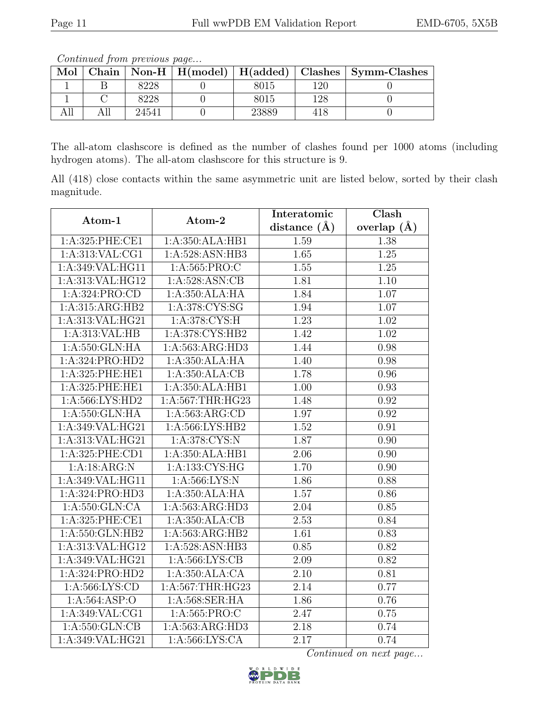All | All | 24541 | 0 | 23889 | 418 | 0

Continued from previous page...

The all-atom clashscore is defined as the number of clashes found per 1000 atoms (including hydrogen atoms). The all-atom clashscore for this structure is 9.

All (418) close contacts within the same asymmetric unit are listed below, sorted by their clash magnitude.

| Atom-1              | Atom-2                                  | Interatomic       | Clash         |
|---------------------|-----------------------------------------|-------------------|---------------|
|                     |                                         |                   | overlap $(A)$ |
| 1:A:325:PHE:CE1     | 1:A:350:ALA:HB1                         | 1.59              | 1.38          |
| 1: A: 313: VAL: CG1 | 1:A:528:ASN:HB3                         | $\overline{1.65}$ | 1.25          |
| 1:A:349:VAL:HG11    | 1:A:565:PRO:C                           | 1.55              | $1.25\,$      |
| 1:A:313:VAL:HG12    | 1:A:528:ASN:CB                          | 1.81              | 1.10          |
| 1:A:324:PRO:CD      | 1:A:350:ALA:HA                          | 1.84              | 1.07          |
| 1:A:315:ARG:HB2     | 1:A:378:CYS:SG                          | 1.94              | 1.07          |
| 1:A:313:VAL:HG21    | 1: A:378: CYS:H                         | 1.23              | 1.02          |
| 1:A:313:VAL:HB      | 1:A:378:CYS:HB2                         | 1.42              | 1.02          |
| 1:A:550:GLN:HA      | 1:A:563:ARG:HD3                         | 1.44              | 0.98          |
| 1:A:324:PRO:HD2     | 1:A:350:ALA:HA                          | 1.40              | 0.98          |
| 1:A:325:PHE:HE1     | 1:A:350:ALA:CB                          | 1.78              | 0.96          |
| 1:A:325:PHE:HE1     | 1:A:350:ALA:HB1                         | 1.00              | 0.93          |
| 1: A: 566: LYS: HD2 | 1:A:567:THR:HG23                        | 1.48              | 0.92          |
| 1:A:550:GLN:HA      | 1:A:563:ARG:CD                          | 1.97              | 0.92          |
| 1:A:349:VAL:HG21    | 1:A:566:LYS:HB2                         | 1.52              | 0.91          |
| 1:A:313:VAL:HG21    | 1:A:378:CYS:N                           | 1.87              | 0.90          |
| 1:A:325:PHE:CD1     | 1:A:350:ALA:HB1                         | 2.06              | 0.90          |
| 1:A:18:ARG:N        | 1:A:133:CYS:HG                          | 1.70              | 0.90          |
| 1:A:349:VAL:HG11    | 1: A:566: LYS: N<br>1.86                |                   | 0.88          |
| 1:A:324:PRO:HD3     | 1:A:350:ALA:HA                          | 1.57              | $0.86\,$      |
| 1: A:550: GLN:CA    | $1:A:563:A\overline{R}G:H\overline{D}3$ | 2.04              | $0.85\,$      |
| 1:A:325:PHE:CE1     | 1:A:350:ALA:CB                          | 2.53              | 0.84          |
| 1:A:550:GLN:HB2     | 1:A:563:ARG:HB2                         | 1.61              | 0.83          |
| 1:A:313:VAL:HG12    | 1:A:528:ASN:HB3                         | 0.85              | 0.82          |
| 1:A:349:VAL:HG21    | 1: A:566: LYS: CB                       | 2.09              | 0.82          |
| 1: A:324: PRO:HD2   | 1:A:350:ALA:CA                          | 2.10              | 0.81          |
| 1: A: 566: LYS: CD  | 1:A:567:THR:HG23                        | 2.14              | 0.77          |
| 1: A:564: ASP:O     | 1:A:568:SER:HA                          | 1.86              | 0.76          |
| 1:A:349:VAL:CG1     | 1: A: 565: PRO: C                       | 2.47              | 0.75          |
| 1: A:550: GLN:CB    | 1:A:563:ARG:HD3                         | 2.18              | 0.74          |
| 1:A:349:VAL:HG21    | 1:A:566:LYS:CA                          | $\overline{2.17}$ | 0.74          |



Mol Chain Non-H H(model) H(added) Clashes Symm-Clashes 1 B 8228 0 8015 120 0 1 | C | 8228 | 0 | 8015 | 128 | 0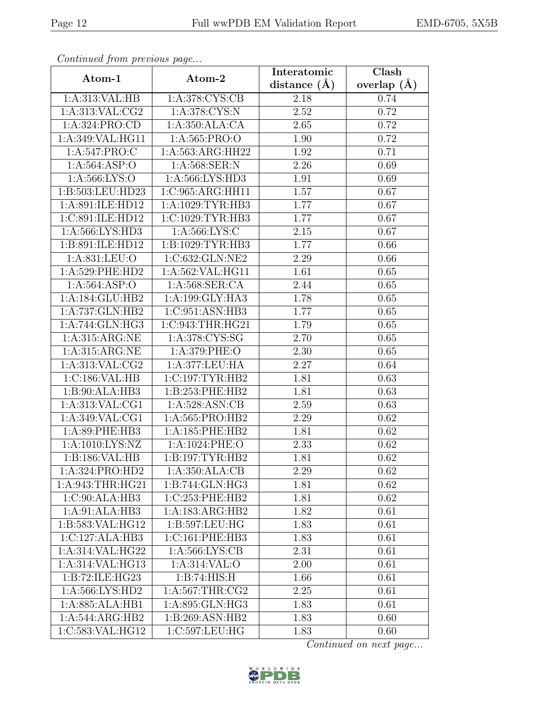| Continuea from previous page           |                        | Interatomic    | Clash         |  |
|----------------------------------------|------------------------|----------------|---------------|--|
| Atom-1                                 | Atom-2                 | distance $(A)$ | overlap $(A)$ |  |
| 1:A:313:VAL:HB                         | 1:A:378:CYS:CB<br>2.18 |                | 0.74          |  |
| 1: A:313: VAL: CG2                     | 1:A:378:CYS:N          | 2.52           | 0.72          |  |
| 1:A:324:PRO:CD                         | 1:A:350:ALA:CA         | 2.65           | 0.72          |  |
| 1:A:349:VAL:HG11                       | 1:A:565:PRO:O          | 1.90           | 0.72          |  |
| 1:A:547:PRO:C                          | 1:A:563:ARG:HH22       | 1.92           | 0.71          |  |
| 1:A:564:ASP:O                          | 1:A:568:SER:N          | 2.26           | 0.69          |  |
| 1: A:566: LYS:O                        | 1:A:566:LYS:HD3        | 1.91           | 0.69          |  |
| 1:B:503:LEU:HD23                       | 1:C:965:ARG:HH11       | 1.57           | 0.67          |  |
| 1:A:891:ILE:HD12                       | 1:A:1029:TYR:HB3       | 1.77           | 0.67          |  |
| 1:C:891:ILE:HD12                       | 1:C:1029:TYR:HB3       | 1.77           | 0.67          |  |
| 1: A:566: LYS: HD3                     | 1:A:566:LYS:C          | 2.15           | 0.67          |  |
| 1:B:891:ILE:HD12                       | 1:B:1029:TYR:HB3       | 1.77           | 0.66          |  |
| 1:A:831:LEU:O                          | 1:C:632:GLN:NE2        | 2.29           | 0.66          |  |
| 1: A:529: PHE:HD2                      | 1:A:562:VAL:HG11       | 1.61           | 0.65          |  |
| 1: A:564: ASP:O                        | 1:A:568:SER:CA         | 2.44           | 0.65          |  |
| 1:A:184:GLU:HB2                        | 1:A:199:GLY:HA3        | 1.78           | 0.65          |  |
| 1:A:737:GLN:HB2                        | 1:C:951:ASN:HB3        | 1.77           | 0.65          |  |
| 1:A:744:GLN:HG3                        | 1:C:943:THR:HG21       | 1.79           | 0.65          |  |
| 1:A:315:ARG:NE                         | 1:A:378:CYS:SG         | 2.70           | 0.65          |  |
| 1:A:315:ARG:NE                         | 1:A:379:PHE:O          | 2.30           | 0.65          |  |
| 1:A:313:VAL:CG2                        | 1:A:377:LEU:HA         | 2.27           | 0.64          |  |
| 1:C:186:VAL:HB                         | 1:C:197:TYR:HB2        | 1.81           | 0.63          |  |
| 1:B:90:ALA:HB3                         | 1:B:253:PHE:HB2        | 1.81           | 0.63          |  |
| 1:A:313:VAL:CG1                        | 1:A:528:ASN:CB         | 2.59           | 0.63          |  |
| 1: A:349: VAL:CG1                      | 1:A:565:PRO:HB2        | 2.29           | 0.62          |  |
| 1:A:89:PHE:HB3                         | 1:A:185:PHE:HB2        | 1.81           | 0.62          |  |
| 1:A:1010:LYS:NZ                        | 1:A:1024:PHE:O         | 2.33           | 0.62          |  |
| $1:B:186:V\overline{AL:H}\overline{B}$ | 1:B:197:TYR:HB2        | 1.81           | 0.62          |  |
| 1:A:324:PRO:HD2                        | 1:A:350:ALA:CB         | 2.29           | 0.62          |  |
| 1: A:943:THR:HG21                      | 1:B:744:GLN:HG3        | 1.81           | 0.62          |  |
| 1:C:90:ALA:HB3                         | 1:C:253:PHE:HB2        | 1.81           | 0.62          |  |
| 1:A:91:ALA:HB3                         | 1:A:183:ARG:HB2        | 1.82           | 0.61          |  |
| 1:B:583:VAL:HG12                       | 1: B: 597: LEU: HG     | 1.83           | 0.61          |  |
| 1:C:127:ALA:HB3                        | 1:C:161:PHE:HB3        | 1.83           | 0.61          |  |
| 1:A:314:VAL:HG22                       | 1: A: 566: LYS: CB     | 2.31           | 0.61          |  |
| 1:A:314:VAL:HG13                       | 1:A:314:VAL:O          | 2.00           | 0.61          |  |
| 1:B:72:ILE:HG23                        | 1:B:74:HIS:H           | 1.66           | 0.61          |  |
| 1:A:566:LYS:HD2                        | 1:A:567:THR:CG2        | $2.25\,$       | 0.61          |  |
| 1:A:885:ALA:HB1                        | 1:A:895:GLN:HG3        | 1.83           | 0.61          |  |
| $1:A:544:AR\overline{G:HB2}$           | 1:B:269:ASN:HB2        | 1.83           | 0.60          |  |
| 1:C:583:VAL:HG12                       | 1:C:597:LEU:HG         | 1.83           | 0.60          |  |

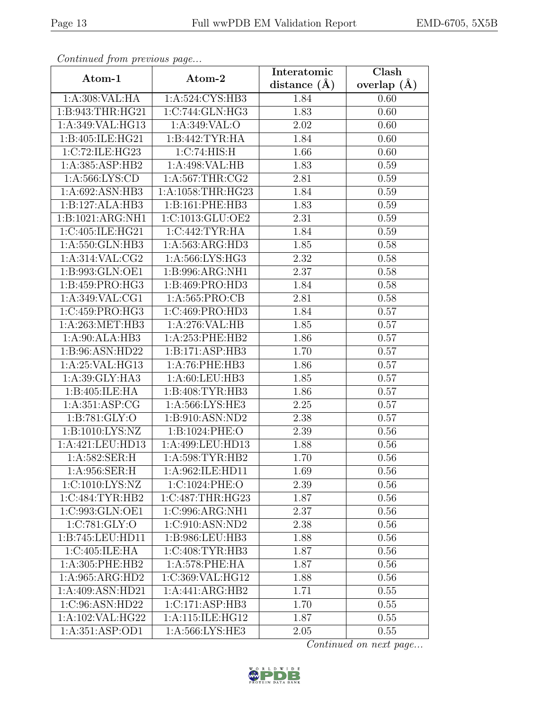| Continued from previous page  |                   | Interatomic      | Clash         |  |
|-------------------------------|-------------------|------------------|---------------|--|
| Atom-1                        | Atom-2            | distance $(\AA)$ | overlap $(A)$ |  |
| 1:A:308:VAL:HA                | 1:A:524:CYS:HB3   | 1.84             | 0.60          |  |
| 1:B:943:THR:HG21              | 1:C:744:GLN:HG3   | 1.83             | 0.60          |  |
| 1:A:349:VAL:HG13              | 1: A:349: VAL:O   | 2.02             | 0.60          |  |
| 1:B:405:ILE:HG21              | 1:B:442:TYR:HA    | 1.84             | 0.60          |  |
| 1:C:72:ILE:HG23               | 1:C:74:HIS:H      | 1.66             | 0.60          |  |
| 1:A:385:ASP:HB2               | 1:A:498:VAL:HB    | 1.83             | 0.59          |  |
| 1: A:566:LYS:CD               | 1: A:567:THR:CG2  | 2.81             | 0.59          |  |
| 1: A:692: ASN:HB3             | 1:A:1058:THR:HG23 | 1.84             | 0.59          |  |
| 1:B:127:ALA:HB3               | 1:B:161:PHE:HB3   | 1.83             | 0.59          |  |
| 1:B:1021:ARG:NH1              | 1:C:1013:GLU:OE2  | 2.31             | 0.59          |  |
| 1:C:405:ILE:HG21              | 1:C:442:TYR:HA    | 1.84             | 0.59          |  |
| 1:A:550:GLN:HB3               | 1:A:563:ARG:HD3   | 1.85             | 0.58          |  |
| 1:A:314:VAL:CG2               | 1:A:566:LYS:HG3   | 2.32             | 0.58          |  |
| 1:B:993:GLN:OE1               | 1:B:996:ARG:NH1   | 2.37             | 0.58          |  |
| 1:B:459:PRO:HG3               | 1:B:469:PRO:HD3   | 1.84             | 0.58          |  |
| 1:A:349:VAL:CG1               | 1: A: 565: PRO:CB | 2.81             | 0.58          |  |
| 1:C:459:PRO:HG3               | 1:C:469:PRO:HD3   | 1.84             | 0.57          |  |
| 1:A:263:MET:HB3               | 1:A:276:VAL:HB    | 1.85             | 0.57          |  |
| 1:A:90:ALA:HB3                | 1:A:253:PHE:HB2   | 1.86             | 0.57          |  |
| 1:B:96:ASN:HD22               | 1:B:171:ASP:HB3   | 1.70             | 0.57          |  |
| 1:A:25:VAL:HG13               | 1:A:76:PHE:HB3    | 1.86             | 0.57          |  |
| 1:A:39:GLY:HA3                | 1: A:60:LEU:HB3   | 1.85             | 0.57          |  |
| 1:B:405:ILE:HA                | 1:B:408:TYR:HB3   | 1.86             | 0.57          |  |
| 1:A:351:ASP:CG                | 1:A:566:LYS:HE3   | 2.25             | 0.57          |  |
| 1:B:781:GLY:O                 | 1:B:910:ASN:ND2   | 2.38             | 0.57          |  |
| 1: B: 1010: LYS: NZ           | 1:B:1024:PHE:O    | 2.39             | 0.56          |  |
| 1:A:421:LEU:HD13              | 1:A:499:LEU:HD13  | 1.88             | 0.56          |  |
| $1: A:582: SER: \overline{H}$ | 1:A:598:TYR:HB2   | 1.70             | 0.56          |  |
| 1:A:956:SER:H                 | 1:A:962:ILE:HD11  | 1.69             | 0.56          |  |
| 1:C:1010:LYS:NZ               | 1:C:1024:PHE:O    | 2.39             | 0.56          |  |
| 1:C:484:TYR:HB2               | 1:C:487:THR:HG23  | 1.87             | 0.56          |  |
| 1:C:993:GLN:OE1               | 1:C:996:ARG:NH1   | 2.37             | 0.56          |  |
| 1:C:781:GLY:O                 | 1:C:910:ASN:ND2   | 2.38             | 0.56          |  |
| 1:B:745:LEU:HD11              | 1:B:986:LEU:HB3   | 1.88             | 0.56          |  |
| 1:C:405:ILE:HA                | 1:C:408:TYR:HB3   | 1.87             | 0.56          |  |
| 1:A:305:PHE:HB2               | 1:A:578:PHE:HA    | 1.87             | 0.56          |  |
| 1:A:965:ARG:HD2               | 1:C:369:VAL:HG12  | 1.88             | 0.56          |  |
| 1:A:409:ASN:HD21              | 1:A:441:ARG:HB2   | 1.71             | 0.55          |  |
| 1:C:96:ASN:HD22               | 1:C:171:ASP:HB3   | 1.70             | 0.55          |  |
| 1:A:102:VAL:HG22              | 1:A:115:ILE:HG12  | 1.87             | 0.55          |  |
| $1:A:351:AS\overline{P:OD1}$  | 1:A:566:LYS:HE3   | 2.05             | 0.55          |  |

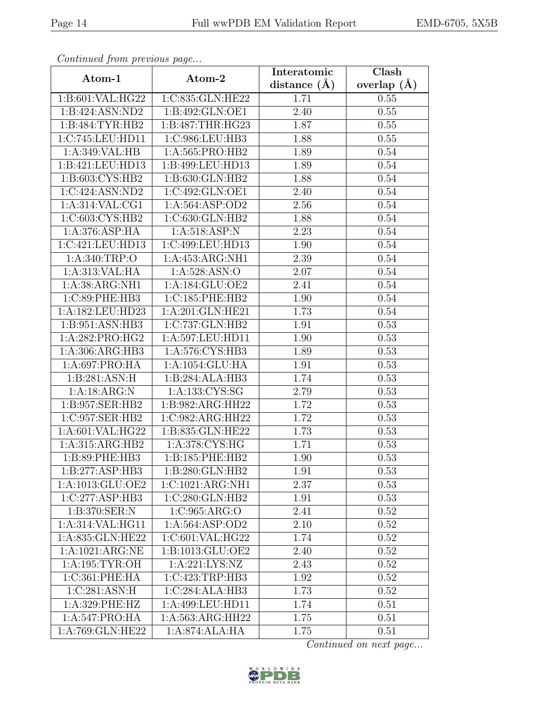| Continuea from previous page |                                       | Interatomic    | Clash         |
|------------------------------|---------------------------------------|----------------|---------------|
| Atom-1                       | Atom-2                                | distance $(A)$ | overlap $(A)$ |
| 1:B:601:VAL:HG22             | 1:C:835:GLN:HE22                      | 1.71           | 0.55          |
| 1:B:424:ASN:ND2              | 1:B:492:GLN:OE1                       | 2.40           | 0.55          |
| 1: B:484: TYR: HB2           | 1:B:487:THR:H <sub>G23</sub>          | 1.87           | 0.55          |
| 1:C:745:LEU:HD11             | 1:C:986:LEU:HB3                       | 1.88           | 0.55          |
| 1:A:349:VAL:HB               | 1:A:565:PRO:HB2                       | 1.89           | 0.54          |
| 1:B:421:LEU:HD13             | 1:B:499:LEU:HD13                      | 1.89           | 0.54          |
| 1: B:603: CYS:HB2            | 1:B:630:GLN:HB2                       | 1.88           | 0.54          |
| 1:C:424:ASN:ND2              | 1:C:492:GLN:OE1                       | 2.40           | 0.54          |
| 1: A:314: VAL:CG1            | 1:A:564:ASP:OD2                       | 2.56           | 0.54          |
| 1:C:603:CYS:HB2              | 1:C:630:GLN:HB2                       | 1.88           | 0.54          |
| 1: A:376: ASP: HA            | 1: A:518: ASP:N                       | 2.23           | 0.54          |
| 1:C:421:LEU:HD13             | 1:C:499:LEU:HD13                      | 1.90           | 0.54          |
| 1: A:340:TRP:O               | 1:A:453:ARG:NH1                       | 2.39           | 0.54          |
| 1:A:313:VAL:HA               | 1:A:528:ASN:O                         | 2.07           | 0.54          |
| 1:A:38:ARG:NH1               | 1:A:184:GLU:OE2                       | 2.41           | 0.54          |
| 1:C:89:PHE:HB3               | 1:C:185:PHE:HB2                       | 1.90           | 0.54          |
| 1:A:182:LEU:HD23             | 1:A:201:GLN:HE21                      | 1.73           | 0.54          |
| 1: B:951: ASN:HB3            | 1:C:737:GLN:HB2                       | 1.91           | 0.53          |
| 1:A:282:PRO:HG2              | 1:A:597:LEU:HD11                      | 1.90           | 0.53          |
| 1:A:306:ARG:HB3              | 1:A:576:CYS:HB3                       | 1.89           | 0.53          |
| 1:A:697:PRO:HA               | 1:A:1054:GLU:HA                       | 1.91           | 0.53          |
| 1:B:281:ASN:H                | 1:B:284:ALA:HB3                       | 1.74           | 0.53          |
| 1:A:18:ARG:N                 | $1: A: 133: \overline{\text{CYS:SG}}$ | 2.79           | 0.53          |
| 1:B:957:SER:HB2              | 1:B:982:ARG:HH22                      | 1.72           | 0.53          |
| 1:C:957:SER:HB2              | 1:C:982:ARG:HH22                      | 1.72           | 0.53          |
| 1:A:601:VAL:HG22             | 1:B:835:GLN:HE22                      | 1.73           | 0.53          |
| 1:A:315:ARG:HB2              | 1:A:378:CYS:HG                        | 1.71           | 0.53          |
| 1:B:89:PHE:HB3               | 1:B:185:PHE:HB2                       | 1.90           | $0.53\,$      |
| 1:B:277:ASP:HB3              | 1:B:280:GLN:HB2                       | 1.91           | 0.53          |
| 1:A:1013:GLU:OE2             | 1:C:1021:ARG:NH1                      | 2.37           | 0.53          |
| 1:C:277:ASP:HB3              | 1:C:280:GLN:HB2                       | 1.91           | 0.53          |
| 1:B:370:SER:N                | 1:C:965:ARG:O                         | 2.41           | 0.52          |
| 1: A:314: VAL: HG11          | 1: A:564: ASP:OD2                     | 2.10           | 0.52          |
| 1:A:835:GLN:HE22             | 1:C:601:VAL:HG22                      | 1.74           | 0.52          |
| 1:A:1021:ARG:NE              | 1:B:1013:GLU:OE2                      | 2.40           | 0.52          |
| 1: A: 195: TYR: OH           | 1:A:221:LYS:NZ                        | 2.43           | 0.52          |
| 1:C:361:PHE:HA               | 1:C:423:TRP:HB3                       | 1.92           | 0.52          |
| 1:C:281:ASN:H                | 1:C:284:ALA:HB3                       | 1.73           | 0.52          |
| 1:A:329:PHE:HZ               | 1:A:499:LEU:HD11                      | 1.74           | 0.51          |
| 1:A:547:PRO:HA               | 1:A:563:ARG:HH22                      | 1.75           | 0.51          |
| 1:A:769:GLN:HE22             | 1:A:874:ALA:HA                        | 1.75           | 0.51          |

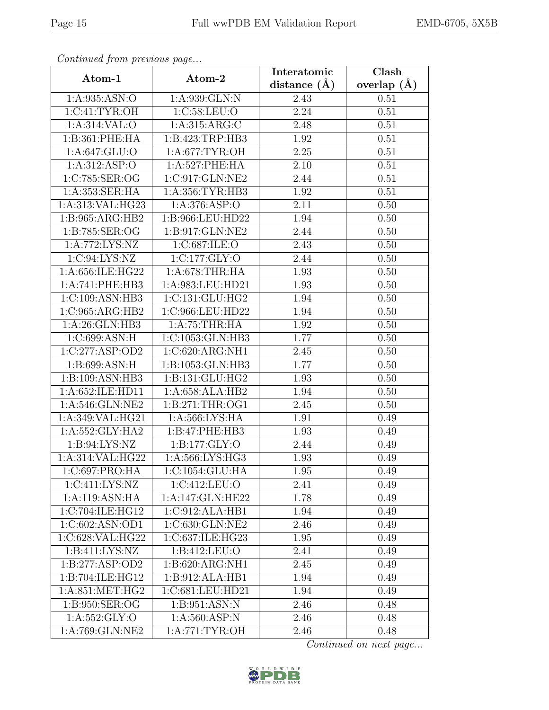| Continuea from previous page   |                              | Interatomic      | $\overline{\text{Clash}}$ |  |
|--------------------------------|------------------------------|------------------|---------------------------|--|
| Atom-1                         | Atom-2                       | distance $(\AA)$ | overlap $(A)$             |  |
| 1:A:935:ASN:O                  | 1:A:939:GLN:N                | 2.43             | 0.51                      |  |
| 1: C: 41: TYR: OH              | 1:C:58:LEU:O                 | 2.24             | 0.51                      |  |
| $1: A:314:VAL:$ <sup>O</sup>   | 1: A:315: ARG: C             | 2.48             | 0.51                      |  |
| 1:B:361:PHE:HA                 | 1:B:423:TRP:HB3              | 1.92             | 0.51                      |  |
| 1: A:647: GLU:O                | 1:A:677:TYR:OH               | 2.25             | 0.51                      |  |
| 1:A:312:ASP:O                  | 1:A:527:PHE:HA               | 2.10             | 0.51                      |  |
| 1:C:785:SER:OG                 | 1:C:917:GLN:NE2              | 2.44             | 0.51                      |  |
| 1:A:353:SER:HA                 | 1:A:356:TYR:HB3              | 1.92             | 0.51                      |  |
| 1:A:313:VAL:HG23               | 1:A:376:ASP:O                | 2.11             | 0.50                      |  |
| 1:B:965:ARG:HB2                | 1:B:966:LEU:HD22             | 1.94             | 0.50                      |  |
| $1: B:785: SER: \overline{OG}$ | 1:B:917:GLN:NE2              | 2.44             | 0.50                      |  |
| 1:A:772:LYS:NZ                 | 1:C:687:ILE:O                | 2.43             | 0.50                      |  |
| 1:C:94:LYS:NZ                  | 1:C:177:GLY:O                | 2.44             | 0.50                      |  |
| 1:A:656:ILE:HG22               | 1: A:678:THR:HA              | 1.93             | 0.50                      |  |
| 1:A:741:PHE:HB3                | 1:A:983:LEU:HD21             | 1.93             | 0.50                      |  |
| 1:C:109:ASN:HB3                | 1:C:131:GLU:HG2              | 1.94             | 0.50                      |  |
| 1:C:965:ARG:HB2                | 1:C:966:LEU:HD22             | 1.94             | 0.50                      |  |
| 1:A:26:GLN:HB3                 | 1:A:75:THR:H                 | 1.92             | 0.50                      |  |
| 1:C:699:ASN:H                  | 1:C:1053:GLN:HB3             | 1.77             | 0.50                      |  |
| 1:C:277:ASP:OD2                | 1:C:620:ARG:NH1              | 2.45             | 0.50                      |  |
| 1:B:699:ASN:H                  | 1:B:1053:GLN:HB3             | 1.77             | 0.50                      |  |
| 1:B:109:ASN:HB3                | 1:B:131:GLU:HG2              | 1.93             | 0.50                      |  |
| 1:A:652:ILE:HD11               | 1:A:658:ALA:HB2              | 1.94             | 0.50                      |  |
| 1: A:546: GLN:NE2              | 1: B:271:THR:OG1             | 2.45             | 0.50                      |  |
| 1:A:349:VAL:HG21               | 1:A:566:LYS:HA               | 1.91             | 0.49                      |  |
| 1:A:552:GLY:HA2                | 1:B:47:PHE:HB3               | 1.93             | 0.49                      |  |
| 1:B:94:LYS:NZ                  | 1:B:177:GLY:O                | 2.44             | 0.49                      |  |
| 1:A:314:VAL:HG22               | 1: A:566: LYS: HG3           | 1.93             | 0.49                      |  |
| 1:C:697:PRO:HA                 | 1:C:1054:GLU:HA              | 1.95             | 0.49                      |  |
| 1:C:411:LYS:NZ                 | 1:C:412:LEU:O                | 2.41             | 0.49                      |  |
| 1:A:119:ASN:HA                 | 1:A:147:GLN:HE22             | 1.78             | 0.49                      |  |
| 1:C:704:ILE:HG12               | 1:C:912:ALA:HB1              | 1.94             | 0.49                      |  |
| $1:C:602:ASN:$ OD1             | 1:C:630:GLN:NE2              | 2.46             | 0.49                      |  |
| 1:C:628:VAL:HG22               | 1:C:637:ILE:HG23             | 1.95             | 0.49                      |  |
| 1:B:411:LYS:NZ                 | $1: B: 412:$ LEU:O           | 2.41             | 0.49                      |  |
| 1:B:277:ASP:OD2                | $1:B:620:ARG:\overline{NH1}$ | 2.45             | 0.49                      |  |
| 1:B:704:ILE:HG12               | 1:B:912:ALA:HB1              | 1.94             | 0.49                      |  |
| 1: A:851: MET:HG2              | 1:C:681:LEU:HD21             | 1.94             | 0.49                      |  |
| 1:B:950:SER:OG                 | 1:B:951:ASN:N                | 2.46             | 0.48                      |  |
| 1: A: 552: GLY: O              | 1: A:560: ASP: N             | 2.46             | 0.48                      |  |
| 1:A:769:GLN:NE2                | 1: A:771: TYR:OH             | 2.46             | 0.48                      |  |

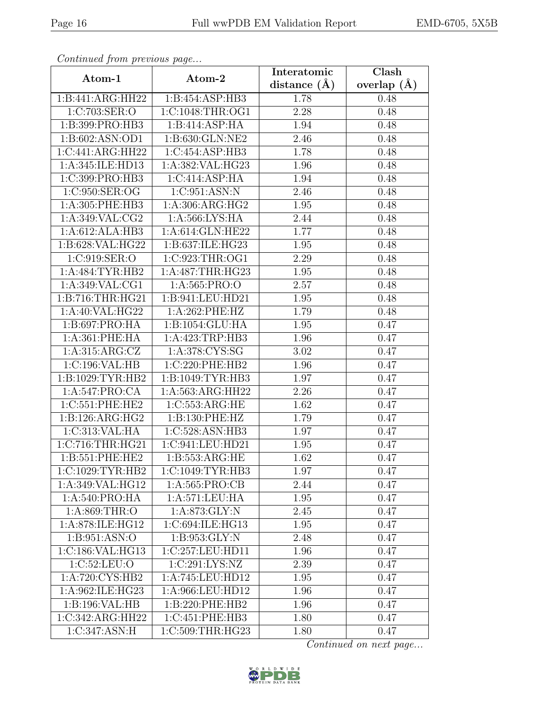| Continuea from previous page |                                           | Interatomic       | Clash         |
|------------------------------|-------------------------------------------|-------------------|---------------|
| Atom-1                       | Atom-2                                    | distance $(\AA)$  | overlap $(A)$ |
| 1:B:441:ARG:HH22             | 1:B:454:ASP:HB3                           | 1.78              | 0.48          |
| 1:C:703:SER:O                | 1:C:1048:THR:OG1                          | 2.28              | 0.48          |
| 1:B:399:PRO:HB3              | 1:B:414:ASP:HA                            | 1.94              | 0.48          |
| 1:B:602:ASN:OD1              | 1:B:630:GLN:NE2                           | 2.46              | 0.48          |
| 1:C:441:ARG:HH22             | 1:C:454:ASP:HB3                           | 1.78              | 0.48          |
| 1:A:345:ILE:HD13             | 1:A:382:VAL:HG23                          | 1.96              | 0.48          |
| 1:C:399:PRO:HB3              | 1:C:414:ASP:HA                            | 1.94              | 0.48          |
| 1:C:950:SER:OG               | 1:C:951:ASN:N                             | 2.46              | 0.48          |
| $1: A:305:$ PHE:HB3          | 1: A: 306: ARG: HG2                       | 1.95              | 0.48          |
| 1: A:349: VAL: CG2           | 1:A:566:LYS:HA                            | 2.44              | 0.48          |
| 1:A:612:ALA:HB3              | 1: A:614: GLN: HE22                       | 1.77              | 0.48          |
| 1:B:628:VAL:HG22             | 1:B:637:ILE:HG23                          | 1.95              | 0.48          |
| 1:C:919:SER:O                | 1:C:923:THR:OG1                           | 2.29              | 0.48          |
| 1: A:484: TYR: HB2           | 1:A:487:THR:HG23                          | 1.95              | 0.48          |
| 1:A:349:VAL:CG1              | 1:A:565:PRO:O                             | 2.57              | 0.48          |
| 1:B:716:THR:HG21             | 1:B:941:LEU:HD21                          | 1.95              | 0.48          |
| 1:A:40:VAL:HG22              | 1:A:262:PHE:HZ                            | 1.79              | 0.48          |
| 1:B:697:PRO:HA               | 1:B:1054:GLU:HA                           | 1.95              | 0.47          |
| 1:A:361:PHE:HA               | 1:A:423:TRP:HB3                           | 1.96              | 0.47          |
| 1:A:315:ARG:CZ               | 1:A:378:CYS:SG                            | 3.02              | 0.47          |
| 1:C:196:VAL:HB               | 1:C:220:PHE:HB2                           | 1.96              | 0.47          |
| 1:B:1029:TYR:HB2             | 1:B:1049:TYR:HB3                          | 1.97              | 0.47          |
| 1:A:547:PRO:CA               | 1:A:563:ARG:HH22                          | 2.26              | 0.47          |
| 1:C:551:PHE:HE2              | 1:C:553:ARG:HE                            | 1.62              | 0.47          |
| 1:B:126:ARG:HG2              | 1:B:130:PHE:HZ                            | 1.79              | 0.47          |
| 1:C:313:VAL:HA               | 1:C:528:ASN:HB3                           | 1.97              | 0.47          |
| 1:C:716:THR:HG21             | 1:C:941:LEU:HD21                          | 1.95              | 0.47          |
| 1:B:551:PHE:HE2              | 1:B:553:ARG:HE                            | $\overline{1}.62$ | 0.47          |
| 1:C:1029:TYR:HB2             | 1:C:1049:TYR:HB3                          | 1.97              | 0.47          |
| 1:A:349:VAL:HG12             | 1: A: 565: PRO:CB                         | 2.44              | 0.47          |
| 1: A:540: PRO:HA             | 1: A:571:LEU:HA                           | 1.95              | 0.47          |
| 1: A:869:THR:O               | 1: A:873: GLY:N                           | 2.45              | 0.47          |
| 1:A:878:ILE:HG12             | 1:C:694:ILE:HG13                          | 1.95              | 0.47          |
| 1:B:951:ASN:O                | 1:B:953:GLY:N                             | 2.48              | 0.47          |
| 1:C:186:VAL:HG13             | 1:C:257:LEU:HD11                          | 1.96              | 0.47          |
| 1:C:52:LEU:O                 | $1:\overline{\text{C}:291:\text{LYS}:NZ}$ | $\overline{2.39}$ | 0.47          |
| $1:A:720:CYS:H\overline{B2}$ | 1:A:745:LEU:HD12                          | 1.95              | 0.47          |
| 1:A:962:ILE:HG23             | 1:A:966:LEU:HD12                          | 1.96              | 0.47          |
| 1:B:196:VAL:HB               | 1:B:220:PHE:HB2                           | 1.96              | 0.47          |
| 1:C:342:ARG:HH22             | 1:C:451:PHE:HB3                           | 1.80              | 0.47          |
| 1:C:347:ASN:H                | 1:C:509:THR:HG23                          | 1.80              | 0.47          |

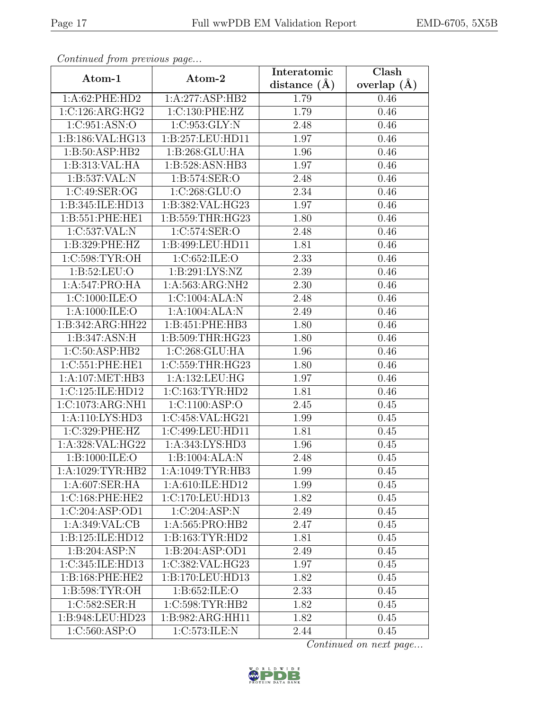| Continuea from previous page |                             | Interatomic       | Clash         |
|------------------------------|-----------------------------|-------------------|---------------|
| Atom-1                       | Atom-2                      | distance $(\AA)$  | overlap $(A)$ |
| 1:A:62:PHE:HD2               | 1:A:277:ASP:HB2             | 1.79              | 0.46          |
| 1:C:126:ARG:HG2              | 1:C:130:PHE:HZ              | 1.79              | 0.46          |
| 1:C:951:ASN:O                | 1:C:953:GLY:N               | 2.48              | 0.46          |
| 1:B:186:VAL:HG13             | 1:B:257:LEU:HD11            | 1.97              | 0.46          |
| 1:B:50:ASP:HB2               | 1:B:268:GLU:HA              | 1.96              | 0.46          |
| 1:B:313:VAL:HA               | 1:B:528:ASN:HB3             | 1.97              | 0.46          |
| 1:B:537:VAL: N               | 1:B:574:SER:O               | 2.48              | 0.46          |
| 1:C:49:SER:OG                | 1:C:268:GLU:O               | 2.34              | 0.46          |
| 1:B:345:ILE:HD13             | 1:B:382:VAL:HG23            | 1.97              | 0.46          |
| 1: B:551: PHE:HE1            | 1:B:559:THR:HG23            | 1.80              | 0.46          |
| 1:C:537:VAL:N                | 1:C:574:SER:O               | 2.48              | 0.46          |
| 1:B:329:PHE:HZ               | 1:B:499:LEU:HD11            | 1.81              | 0.46          |
| 1:C:598:TYR:OH               | 1:C:652:ILE:O               | 2.33              | 0.46          |
| 1: B:52: LEU:O               | 1: B:291: LYS:NZ            | 2.39              | 0.46          |
| 1:A:547:PRO:HA               | 1:A:563:ARG:NH2             | $\overline{2}.30$ | 0.46          |
| 1:C:1000:ILE:O               | 1:C:1004:ALA:N              | 2.48              | 0.46          |
| 1: A:1000: ILE:O             | 1:A:1004:ALA:N              | 2.49              | 0.46          |
| 1:B:342:ARG:HH22             | 1:B:451:PHE:HB3             | 1.80              | 0.46          |
| 1:B:347:ASN:H                | 1:B:509:THR:HG23            | 1.80              | 0.46          |
| 1:C:50:ASP:HB2               | 1:C:268:GLU:HA              | 1.96              | 0.46          |
| 1:C:551:PHE:HE1              | 1:C:559:THR:HG23            | 1.80              | 0.46          |
| 1:A:107:MET:HB3              | 1:A:132:LEU:HG              | 1.97              | 0.46          |
| 1:C:125:ILE:HD12             | 1:C:163:TYR:HD2             | 1.81              | 0.46          |
| 1:C:1073:ARG:NH1             | 1:C:1100:ASP:O              | 2.45              | 0.45          |
| 1:A:110:LYS:HD3              | 1:C:458:VAL:HG21            | 1.99              | 0.45          |
| 1:C:329:PHE:HZ               | 1:C:499:LEU:HD11            | 1.81              | 0.45          |
| 1:A:328:VAL:HG22             | 1:A:343:LYS:HD3             | 1.96              | 0.45          |
| 1:B:1000:ILE:O               | $1:B:1004:ALA:\overline{N}$ | 2.48              | 0.45          |
| 1:A:1029:TYR:HB2             | 1:A:1049:TTYR:HB3           | 1.99              | 0.45          |
| 1: A:607: SER: HA            | 1: A:610: ILE: HD12         | 1.99              | 0.45          |
| 1:C:168:PHE:HE2              | 1:C:170:LEU:HD13            | 1.82              | 0.45          |
| 1:C:204:ASP:OD1              | 1:C:204:ASP:N               | 2.49              | 0.45          |
| 1:A:349:VAL:CB               | 1:A:565:PRO:HB2             | 2.47              | 0.45          |
| 1:B:125:ILE:HD12             | 1:B:163:TYR:HD2             | 1.81              | 0.45          |
| 1:B:204:ASP:N                | 1:B:204:ASP:OD1             | 2.49              | 0.45          |
| 1:C:345:ILE:HD13             | 1:C:382:VAL:HG23            | 1.97              | 0.45          |
| 1:B:168:PHE:HE2              | 1:B:170:LEU:HD13            | 1.82              | 0.45          |
| 1:B:598:TYR:OH               | 1:B:652:ILE:O               | 2.33              | 0.45          |
| 1:C:582:SER:H                | 1:C:598:TYR:HB2             | 1.82              | 0.45          |
| 1:B:948:LEU:HD23             | 1:B:982:ARG:HH11            | 1.82              | 0.45          |
| 1:C:560:ASP:O                | 1:C:573:ILE:N               | 2.44              | 0.45          |

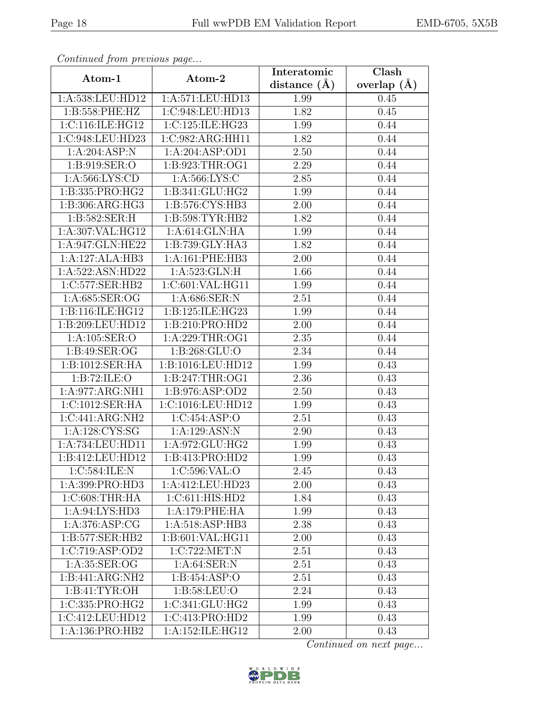| Continuea from previous page |                             | Interatomic    | Clash         |
|------------------------------|-----------------------------|----------------|---------------|
| Atom-1                       | Atom-2                      | distance $(A)$ | overlap $(A)$ |
| 1:A:538:LEU:HD12             | 1:A:571:LEU:HD13            | 1.99           | 0.45          |
| 1:B:558:PHE:HZ               | 1:C:948:LEU:HD13            | 1.82           | 0.45          |
| 1:C:116:ILE:HG12             | 1:C:125:ILE:HG23            | 1.99           | 0.44          |
| 1:C:948:LEU:HD23             | 1:C:982:ARG:HH11            | 1.82           | 0.44          |
| 1:A:204:ASP:N                | 1:A:204:ASP:OD1             | 2.50           | 0.44          |
| 1:B:919:SER:O                | 1:B:923:THR:OG1             | 2.29           | 0.44          |
| 1:A:566:LYS:CD               | 1: A:566: LYS:C             | 2.85           | 0.44          |
| 1:B:335:PRO:HG2              | 1:B:341:GLU:HG2             | 1.99           | 0.44          |
| 1:B:306:ARG:HG3              | 1:B:576:CYS:HB3             | 2.00           | 0.44          |
| 1:B:582:SER:H                | 1:B:598:TYR:HB2             | 1.82           | 0.44          |
| 1:A:307:VAL:HG12             | $1:A:614:GLN:\overline{HA}$ | 1.99           | 0.44          |
| 1:A:947:GLN:HE22             | 1:B:739:GLY:HA3             | 1.82           | 0.44          |
| 1:A:127:ALA:HB3              | 1:A:161:PHE:HB3             | 2.00           | 0.44          |
| 1:A:522:ASN:HD22             | 1:A:523:GLN:H               | 1.66           | 0.44          |
| 1:C:577:SER:HB2              | 1:C:601:VAL:HG11            | 1.99           | 0.44          |
| 1: A:685: SER:OG             | 1:A:686:SER:N               | 2.51           | 0.44          |
| 1:B:116:ILE:HG12             | 1:B:125:ILE:HG23            | 1.99           | 0.44          |
| 1:B:209:LEU:HD12             | 1:B:210:PRO:HD2             | 2.00           | 0.44          |
| 1:A:105:SER:O                | 1:A:229:THR:OG1             | 2.35           | 0.44          |
| 1: B:49: SER:OG              | 1: B:268: GLU:O             | 2.34           | 0.44          |
| 1:B:1012:SER:HA              | 1:B:1016:LEU:HD12           | 1.99           | 0.43          |
| 1:B:72:ILE:O                 | 1:B:247:THR:OG1             | 2.36           | 0.43          |
| 1:A:977:ARG:NH1              | 1:B:976:ASP:OD2             | 2.50           | 0.43          |
| 1:C:1012:SER:HA              | 1:C:1016:LEU:HD12           | 1.99           | 0.43          |
| 1:C:441:ARG:NH2              | 1:C:454:ASP:O               | 2.51           | 0.43          |
| 1: A: 128: CYS: SG           | 1:A:129:ASN:N               | 2.90           | 0.43          |
| 1:A:734:LEU:HD11             | 1:A:972:GLU:HG2             | 1.99           | 0.43          |
| 1:B:412:LEU:HD12             | 1:B:413:PRO:HD2             | 1.99           | 0.43          |
| 1:C:584:ILE:N                | 1:C:596:VAL:O               | 2.45           | 0.43          |
| 1:A:399:PRO:HD3              | 1:A:412:LEU:HD23            | 2.00           | 0.43          |
| 1: C:608:THR:HA              | 1:C:611:HIS:HD2             | 1.84           | 0.43          |
| 1: A:94: LYS: HD3            | 1:A:179:PHE:HA              | 1.99           | 0.43          |
| 1: A:376: ASP:CG             | 1:A:518:ASP:HB3             | 2.38           | 0.43          |
| 1:B:577:SER:HB2              | 1:B:601:VAL:HG11            | 2.00           | 0.43          |
| 1:C:719:ASP:OD2              | 1:C:722:MET:N               | 2.51           | 0.43          |
| 1: A:35: SER:OG              | 1: A:64:SER:N               | 2.51           | 0.43          |
| 1:B:441:ARG:NH2              | 1: B: 454: ASP: O           | 2.51           | 0.43          |
| 1:B:41:TYR:OH                | 1: B:58:LEU:O               | 2.24           | 0.43          |
| 1:C:335:PRO:HG2              | 1:C:341:GLU:HG2             | 1.99           | 0.43          |
| 1:C:412:LEU:HD12             | 1:C:413:PRO:HD2             | 1.99           | 0.43          |
| 1:A:136:PRO:HB2              | 1:A:152:ILE:HG12            | 2.00           | 0.43          |

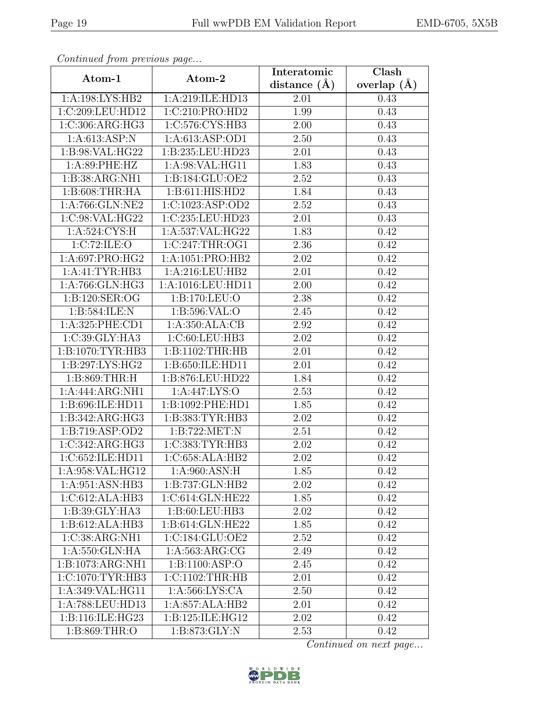| Continuea from previous page            |                    | Interatomic      | Clash         |  |
|-----------------------------------------|--------------------|------------------|---------------|--|
| Atom-1                                  | Atom-2             | distance $(\AA)$ | overlap $(A)$ |  |
| 1:A:198:LYS:HB2                         | 1:A:219:ILE:HD13   | 2.01             | 0.43          |  |
| 1:C:209:LEU:HD12                        | 1:C:210:PRO:HD2    | 1.99             | 0.43          |  |
| 1:C:306:ARG:HG3                         | 1:C:576:CYS:HB3    | 2.00             | 0.43          |  |
| 1: A:613: ASP: N                        | 1:A:613:ASP:OD1    | 2.50             | 0.43          |  |
| 1: B:98: VAL: HG22                      | 1:B:235:LEU:HD23   | 2.01             | 0.43          |  |
| 1: A:89:PHE:HZ                          | 1:A:98:VAL:HG11    | 1.83             | 0.43          |  |
| 1:B:38:ARG:NH1                          | 1:B:184:GLU:OE2    | 2.52             | 0.43          |  |
| 1: B:608:THR:HA                         | 1:B:611:HIS:HD2    | 1.84             | 0.43          |  |
| 1:A:766:GLN:NE2                         | 1:C:1023:ASP:OD2   | 2.52             | 0.43          |  |
| 1:C:98:VAL:HG22                         | 1:C:235:LEU:HD23   | 2.01             | 0.43          |  |
| 1: A:524: CYS:H                         | 1:A:537:VAL:HG22   | 1.83             | 0.42          |  |
| 1:C:72:ILE:O                            | 1:C:247:THR:OG1    | 2.36             | 0.42          |  |
| 1:A:697:PRO:HG2                         | 1:A:1051:PRO:HB2   | 2.02             | 0.42          |  |
| 1:A:41:TYR:HB3                          | 1:A:216:LEU:HB2    | 2.01             | 0.42          |  |
| 1:A:766:GLN:HG3                         | 1:A:1016:LEU:HD11  | 2.00             | 0.42          |  |
| 1: B: 120: SER: OG                      | 1:B:170:LEU:O      | 2.38             | 0.42          |  |
| 1:B:584:ILE:N                           | 1: B:596: VAL:O    | 2.45             | 0.42          |  |
| $1:\overline{A}:325:\overline{PHE}:CD1$ | 1:A:350:ALA:CB     | 2.92             | 0.42          |  |
| 1:C:39:CLY:HA3                          | 1:C:60:LEU:HB3     | 2.02             | 0.42          |  |
| 1:B:1070:TYR:HB3                        | 1:B:1102:THR:HB    | 2.01             | 0.42          |  |
| 1:B:297:LYS:HG2                         | 1:B:650:ILE:HD11   | 2.01             | 0.42          |  |
| 1: B:869:THR:H                          | 1:B:876:LEU:HD22   | 1.84             | 0.42          |  |
| 1:A:444:ARG:NH1                         | 1:A:447:LYS:O      | 2.53             | 0.42          |  |
| 1:B:696:ILE:HD11                        | 1:B:1092:PHE:HD1   | 1.85             | 0.42          |  |
| 1:B:342:ARG:HG3                         | 1:B:383:TYR:HB3    | 2.02             | 0.42          |  |
| 1:B:719:ASP:OD2                         | 1:B:722:MET:N      | 2.51             | 0.42          |  |
| 1:C:342:ARG:HG3                         | 1:C:383:TYR:HB3    | 2.02             | 0.42          |  |
| 1:C:652:ILE:HD11                        | 1:C:658:ALA:HB2    | 2.02             | 0.42          |  |
| 1:A:958:VAL:HG12                        | 1:A:960:ASN:H      | 1.85             | 0.42          |  |
| 1:A:951:ASN:HB3                         | 1:B:737:GLN:HB2    | 2.02             | 0.42          |  |
| $1:C:612: \overline{\text{ALA:HB3}}$    | 1:C:614:GLN:HE22   | 1.85             | 0.42          |  |
| 1:B:39:GLY:HA3                          | 1:B:60:LEU:HB3     | 2.02             | 0.42          |  |
| 1:B:612:ALA:HB3                         | 1:B:614:GLN:HE22   | 1.85             | 0.42          |  |
| 1:C:38:ARG:NH1                          | 1:C:184:GLU:OE2    | 2.52             | 0.42          |  |
| 1:A:550:GLN:HA                          | 1: A: 563: ARG: CG | 2.49             | 0.42          |  |
| 1:B:1073:ARG:NH1                        | 1:B:1100:ASP:O     | 2.45             | 0.42          |  |
| 1:C:1070:TYR:HB3                        | 1:C:1102:THR:HB    | 2.01             | 0.42          |  |
| 1:A:349:VAL:HG11                        | 1: A:566: LYS: CA  | 2.50             | 0.42          |  |
| 1:A:788:LEU:HD13                        | 1:A:857:ALA:HB2    | 2.01             | 0.42          |  |
| 1:B:116:ILE:HG23                        | 1:B:125:ILE:HG12   | 2.02             | 0.42          |  |
| 1:B:869:THR:O                           | 1:B:873:GLY:N      | 2.53             | 0.42          |  |

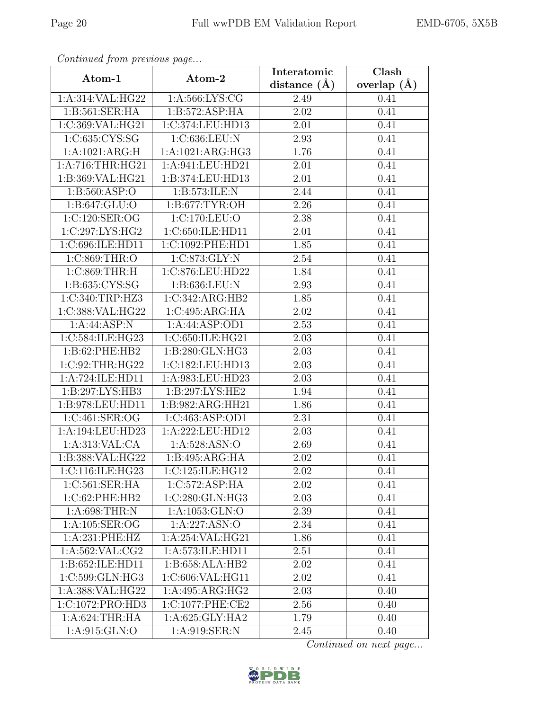| Continued from previous page |                          | Interatomic    | Clash         |  |
|------------------------------|--------------------------|----------------|---------------|--|
| Atom-1                       | Atom-2                   | distance $(A)$ | overlap $(A)$ |  |
| 1:A:314:VAL:HG22             | 1: A:566: LYS: CG        | 2.49           |               |  |
| 1: B:561: SER: HA            | 1: B:572: ASP: HA        | 2.02           | 0.41          |  |
| 1:C:369:VAL:HG21             | 1:C:374:LEU:HD13<br>2.01 |                | 0.41          |  |
| 1:C:635:CYS:SG               | 1:C:636:LEU:N            | 2.93           | 0.41          |  |
| 1: A: 1021: ARG: H           | 1:A:1021:ARG:HG3         | 1.76           | 0.41          |  |
| 1: A:716:THR:HG21            | 1:A:941:LEU:HD21         | 2.01           | 0.41          |  |
| 1:B:369:VAL:HG21             | 1:B:374:LEU:HD13         | 2.01           | 0.41          |  |
| 1: B: 560: ASP:O             | 1:B:573:ILE:N            | 2.44           | 0.41          |  |
| 1:B:647:GLU:O                | 1:B:677:TYR:OH           | 2.26           | 0.41          |  |
| 1:C:120:SER:OG               | 1:C:170:LEU:O            | 2.38           | 0.41          |  |
| 1:C:297:LYS:HG2              | 1:C:650:ILE:HD11         | 2.01           | 0.41          |  |
| 1:C:696:ILE:HD11             | 1:C:1092:PHE:HD1         | 1.85           | 0.41          |  |
| 1:C:869:THR:O                | 1:C:873:GLY:N            | 2.54           | 0.41          |  |
| 1:C:869:THR:H                | 1:C:876:LEU:HD22         | 1.84           | 0.41          |  |
| 1:B:635:CYS:SG               | 1:B:636:LEU:N            | 2.93           | 0.41          |  |
| 1:C:340:TRP:HZ3              | 1:C:342:ARG:HB2          | 1.85           | 0.41          |  |
| 1:C:388:VAL:HG22             | 1:C:495:ARG:HA           | $2.02\,$       | 0.41          |  |
| 1:A:44:ASP:N                 | 1:A:44:ASP:OD1           | 2.53           | 0.41          |  |
| 1:C:584:ILE:HG23             | 1:C:650:ILE:HG21         | 2.03           | 0.41          |  |
| 1:B:62:PHE:HB2               | 1:B:280:GLN:HG3          | 2.03           | 0.41          |  |
| 1:C:92:THR:HG22              | 1:C:182:LEU:HD13         | 2.03           | 0.41          |  |
| 1:A:724:ILE:HD11             | 1:A:983:LEU:HD23         | 2.03           | 0.41          |  |
| 1:B:297:LYS:HB3              | 1:B:297:LYS:HE2<br>1.94  |                | 0.41          |  |
| 1:B:978:LEU:HD11             | 1:B:982:ARG:HH21         | 1.86           | 0.41          |  |
| 1:C:461:SER:OG               | 1:C:463:ASP:OD1          | 2.31           | 0.41          |  |
| 1:A:194:LEU:HD23             | 1:A:222:LEU:HD12         | 2.03           | 0.41          |  |
| 1:A:313:VAL:CA               | 1: A:528: ASN:O          | 2.69           | 0.41          |  |
| 1: B: 388: VAL: HG22         | 1:B:495:ARG:HA           | 2.02           | 0.41          |  |
| 1:C:116:ILE:HG23             | 1:C:125:ILE:HG12         | 2.02           | 0.41          |  |
| 1:C:561:SER:HA               | 1:C:572:ASP:HA           | $2.02\,$       | 0.41          |  |
| 1:C:62:PHE:HB2               | 1:C:280:GLN:HG3          | 2.03           | 0.41          |  |
| 1: A:698:THR:N               | 1:A:1053:GLN:O           | 2.39           | 0.41          |  |
| 1:A:105:SER:OG               | 1:A:227:ASN:O            | 2.34           | 0.41          |  |
| 1:A:231:PHE:HZ               | 1:A:254:VAL:HG21         | 1.86           | 0.41          |  |
| 1: A:562: VAL: CG2           | 1:A:573:ILE:HD11         | 2.51           | 0.41          |  |
| 1:B:652:ILE:HD11             | 1:B:658:ALA:HB2          | 2.02           | 0.41          |  |
| $1:C:599:GLN:H\overline{G3}$ | 1:C:606:VAL:HG11         | 2.02           | 0.41          |  |
| 1:A:388:VAL:HG22             | 1:A:495:ARG:HG2          | 2.03           | 0.40          |  |
| 1:C:1072:PRO:HD3             | 1:C:1077:PHE:CE2         | 2.56           | 0.40          |  |
| 1: A:624:THR:HA              | 1:A:625:GLY:HA2          | 1.79           | 0.40          |  |
| 1:A:915:GLN:O                | 1:A:919:SER:N            | 2.45           | 0.40          |  |

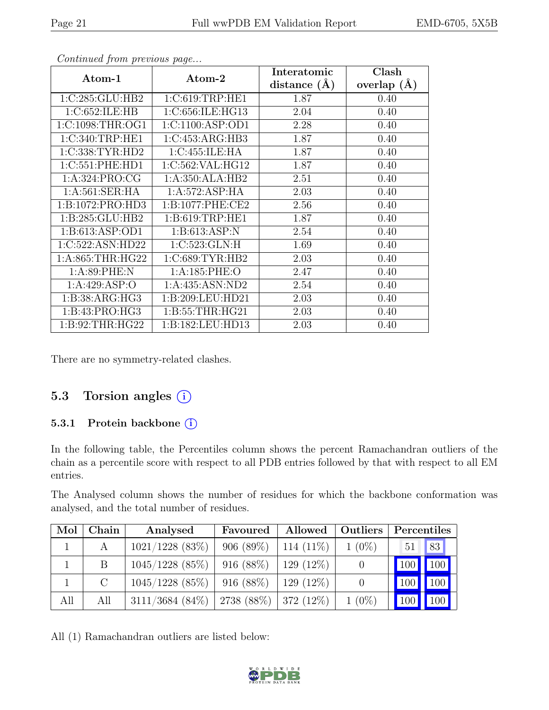| sonicinada from procesão pago<br>Atom-1 | Atom-2               | Interatomic    | Clash           |
|-----------------------------------------|----------------------|----------------|-----------------|
|                                         |                      | distance $(A)$ | overlap $(\AA)$ |
| 1:C:285:GLU:HB2                         | 1:C:619:TRP:HE1      | 1.87           | 0.40            |
| 1:C:652:ILE:HB                          | 1:C:656:ILE:HG13     | 2.04           | 0.40            |
| 1:C:1098:THR:OG1                        | 1: C: 1100: ASP: OD1 | 2.28           | 0.40            |
| 1:C:340:TRP:HE1                         | 1:C:453:ARG:HB3      | 1.87           | 0.40            |
| 1:C:338:TYR:HD2                         | 1:C:455:ILE:HA       | 1.87           | 0.40            |
| 1:C:551:PHE:HD1                         | 1:C:562:VAL:HG12     | 1.87           | 0.40            |
| 1:A:324:PRO:CG                          | 1:A:350:ALA:HB2      | 2.51           | 0.40            |
| 1: A:561:SER:HA                         | 1:A:572:ASP:HA       | 2.03           | 0.40            |
| 1:B:1072:PRO:HD3                        | 1: B: 1077: PHE: CE2 | 2.56           | 0.40            |
| 1:B:285:GLU:HB2                         | 1: B:619:TRP:HE1     | 1.87           | 0.40            |
| 1: B: 613: ASP: OD1                     | 1: B:613: ASP:N      | 2.54           | 0.40            |
| 1:C:522:ASN:HD22                        | 1:C:523:GLN:H        | 1.69           | 0.40            |
| 1: A:865:THR:HG22                       | 1:C:689:TYR:HB2      | 2.03           | 0.40            |
| 1: A:89: PHE: N                         | 1:A:185:PHE:O        | 2.47           | 0.40            |
| 1: A:429: ASP:O                         | 1:A:435:ASN:ND2      | 2.54           | 0.40            |
| 1:B:38:ARG:HG3                          | 1:B:209:LEU:HD21     | 2.03           | 0.40            |
| 1:B:43:PRO:HG3                          | 1:B:55:THR:HG21      | 2.03           | 0.40            |
| 1:B:92:THR:HG22                         | 1:B:182:LEU:HD13     | 2.03           | 0.40            |

There are no symmetry-related clashes.

#### 5.3 Torsion angles  $(i)$

#### 5.3.1 Protein backbone ①

In the following table, the Percentiles column shows the percent Ramachandran outliers of the chain as a percentile score with respect to all PDB entries followed by that with respect to all EM entries.

The Analysed column shows the number of residues for which the backbone conformation was analysed, and the total number of residues.

| Mol | Chain   | Analysed           | Favoured     | Allowed      | Outliers | Percentiles |                 |
|-----|---------|--------------------|--------------|--------------|----------|-------------|-----------------|
|     |         | $1021/1228$ (83%)  | $906(89\%)$  | 114 $(11\%)$ | $1(0\%)$ | 51          | 83              |
|     | B.      | $1045/1228$ (85%)  | $916(88\%)$  | $129(12\%)$  |          |             | 100 100         |
|     | $\rm C$ | $1045/1228$ (85%)  | 916(88%)     | $129(12\%)$  |          | 100         | $\parallel$ 100 |
| All | All     | $3111/3684$ (84\%) | $2738(88\%)$ | 372 (12\%)   | $1(0\%)$ | 100         | $\vert$ 100     |

All (1) Ramachandran outliers are listed below:

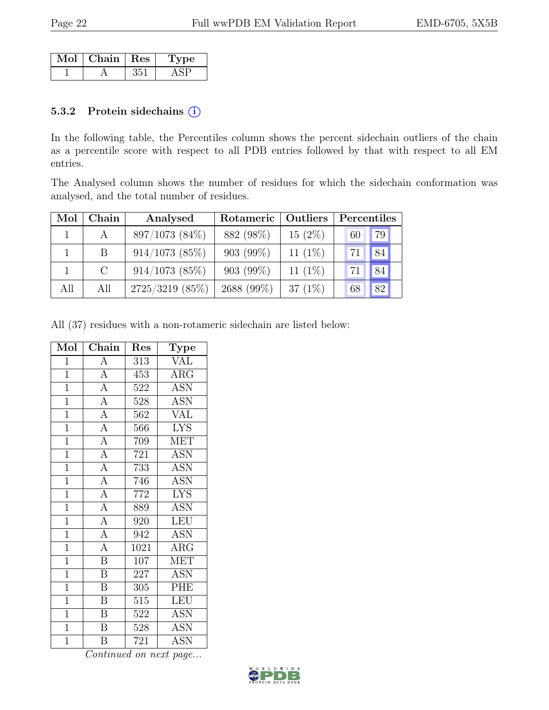| Mol | $\mid$ Chain $\mid$ Res | vne |
|-----|-------------------------|-----|
|     |                         |     |

#### 5.3.2 Protein sidechains (i)

In the following table, the Percentiles column shows the percent sidechain outliers of the chain as a percentile score with respect to all PDB entries followed by that with respect to all EM entries.

The Analysed column shows the number of residues for which the sidechain conformation was analysed, and the total number of residues.

| Mol | Chain         | Analysed          | Outliers<br>Rotameric |            | Percentiles |    |
|-----|---------------|-------------------|-----------------------|------------|-------------|----|
|     | $\mathbf{A}$  | 897/1073 (84%)    | 882 (98%)             | $15(2\%)$  | 60          | 79 |
|     | B             | $914/1073$ (85%)  | 903 (99%)             | 11 $(1\%)$ | 71          | 84 |
|     | $\mathcal{C}$ | $914/1073$ (85%)  | $903(99\%)$           | 11 $(1\%)$ | 71          | 84 |
| All | All           | $2725/3219$ (85%) | 2688 (99%)            | 37 $(1\%)$ | 68          | 82 |

All (37) residues with a non-rotameric sidechain are listed below:

| Mol            | Chain                   | Res               | Type                    |
|----------------|-------------------------|-------------------|-------------------------|
| $\mathbf{1}$   | $\overline{A}$          | 313               | <b>VAL</b>              |
| $\overline{1}$ | $\overline{A}$          | 453               | $\overline{\text{ARG}}$ |
| $\overline{1}$ | $\overline{A}$          | 522               | $\overline{\text{ASN}}$ |
| $\overline{1}$ | $\overline{A}$          | 528               | <b>ASN</b>              |
| $\mathbf{1}$   | $\overline{A}$          | 562               | $\overline{\text{VAL}}$ |
| $\overline{1}$ | $\overline{A}$          | 566               | <b>LYS</b>              |
| $\overline{1}$ | $\overline{A}$          | 709               | <b>MET</b>              |
| $\overline{1}$ | $\overline{A}$          | 721               | <b>ASN</b>              |
| $\mathbf{1}$   | $\overline{A}$          | 733               | <b>ASN</b>              |
| $\overline{1}$ | $\overline{A}$          | 746               | <b>ASN</b>              |
| $\overline{1}$ | $\overline{A}$          | 772               | <b>LYS</b>              |
| $\mathbf{1}$   | $\overline{A}$          | 889               | <b>ASN</b>              |
| $\mathbf{1}$   | $\overline{A}$          | 920               | <b>LEU</b>              |
| $\overline{1}$ | $\frac{1}{A}$           | 942               | <b>ASN</b>              |
| $\overline{1}$ | $\overline{A}$          | $\overline{10}21$ | $\overline{\text{ARG}}$ |
| $\mathbf{1}$   | $\overline{\mathbf{B}}$ | 107               | MET                     |
| $\mathbf{1}$   | $\overline{\mathbf{B}}$ | 227               | <b>ASN</b>              |
| $\overline{1}$ | $\overline{\mathbf{B}}$ | 305               | PHE                     |
| $\overline{1}$ | $\overline{\mathrm{B}}$ | 515               | <b>LEU</b>              |
| $\overline{1}$ | $\overline{\mathbf{B}}$ | 522               | ASN                     |
| $\mathbf{1}$   | $\overline{\mathbf{B}}$ | 528               | <b>ASN</b>              |
| $\overline{1}$ | Β                       | 721               | <b>ASN</b>              |

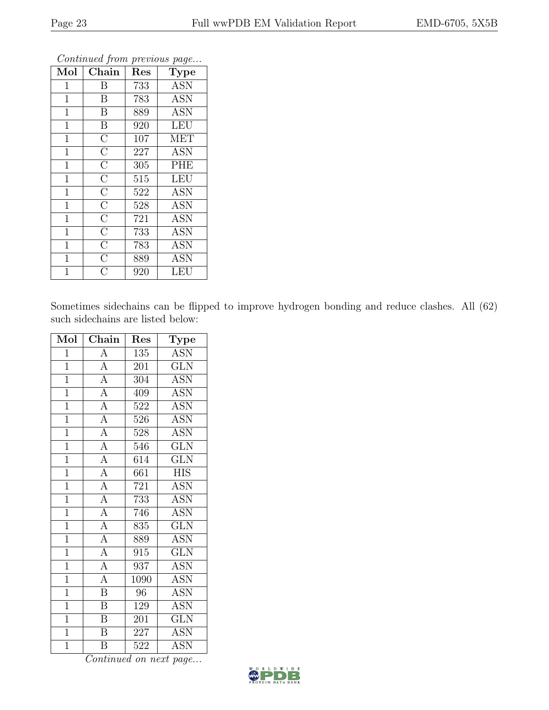| Mol            | Chain                   | Res | Type       |
|----------------|-------------------------|-----|------------|
| $\mathbf 1$    | Β                       | 733 | <b>ASN</b> |
| $\mathbf 1$    | $\mathbf B$             | 783 | <b>ASN</b> |
| $\mathbf{1}$   | B                       | 889 | <b>ASN</b> |
| $\mathbf 1$    | B                       | 920 | <b>LEU</b> |
| $\mathbf{1}$   | $\overline{\rm C}$      | 107 | <b>MET</b> |
| $\mathbf{1}$   | $\overline{\rm C}$      | 227 | <b>ASN</b> |
| $\mathbf 1$    | $\overline{\rm C}$      | 305 | <b>PHE</b> |
| $\mathbf{1}$   | $\overline{\rm C}$      | 515 | <b>LEU</b> |
| $\mathbf 1$    | $\overline{\rm C}$      | 522 | <b>ASN</b> |
| $\mathbf{1}$   | $\overline{\rm C}$      | 528 | <b>ASN</b> |
| $\mathbf{1}$   | $\overline{\rm C}$      | 721 | ĀSN        |
| $\mathbf 1$    | $\overline{\mathrm{C}}$ | 733 | <b>ASN</b> |
| $\mathbf{1}$   | $\overline{\rm C}$      | 783 | <b>ASN</b> |
| $\mathbf{1}$   | $\overline{\rm C}$      | 889 | <b>ASN</b> |
| $\overline{1}$ | $\bar{\rm C}$           | 920 | LEU        |

Sometimes sidechains can be flipped to improve hydrogen bonding and reduce clashes. All (62) such sidechains are listed below:

| Mol            | Chain                     | Res  | Type                    |
|----------------|---------------------------|------|-------------------------|
| $\mathbf{1}$   | $\boldsymbol{\rm{A}}$     | 135  | ASN                     |
| $\mathbf{1}$   | $\overline{A}$            | 201  | <b>GLN</b>              |
| $\mathbf{1}$   | $\overline{A}$            | 304  | <b>ASN</b>              |
| $\overline{1}$ | $\overline{A}$            | 409  | $\overline{ASN}$        |
| $\overline{1}$ | $\overline{A}$            | 522  | ASN                     |
| $\overline{1}$ | $\overline{A}$            | 526  | <b>ASN</b>              |
| $\overline{1}$ | $\overline{A}$            | 528  | $\overline{\text{ASN}}$ |
| $\overline{1}$ | $\overline{A}$            | 546  | <b>GLN</b>              |
| $\overline{1}$ | $\overline{A}$            | 614  | $\overline{\text{GLN}}$ |
| $\mathbf{1}$   | $\overline{A}$            | 661  | <b>HIS</b>              |
| $\overline{1}$ | $\overline{A}$            | 721  | <b>ASN</b>              |
| $\overline{1}$ | $\frac{4}{\underline{A}}$ | 733  | <b>ASN</b>              |
| $\overline{1}$ | $\overline{A}$            | 746  | <b>ASN</b>              |
| $\overline{1}$ | $\overline{A}$            | 835  | $\overline{\text{GLN}}$ |
| $\overline{1}$ | $\overline{A}$            | 889  | <b>ASN</b>              |
| $\overline{1}$ | $\overline{A}$            | 915  | $\overline{\text{GLN}}$ |
| $\overline{1}$ | $\overline{A}$            | 937  | <b>ASN</b>              |
| $\mathbf{1}$   | $\overline{A}$            | 1090 | <b>ASN</b>              |
| $\mathbf{1}$   | $\overline{\mathrm{B}}$   | 96   | <b>ASN</b>              |
| $\overline{1}$ | $\overline{\mathrm{B}}$   | 129  | <b>ASN</b>              |
| $\overline{1}$ | $\overline{\mathrm{B}}$   | 201  | $\overline{\text{GLN}}$ |
| $\overline{1}$ | $\overline{B}$            | 227  | <b>ASN</b>              |
| $\overline{1}$ | $\overline{\mathrm{B}}$   | 522  | <b>ASN</b>              |

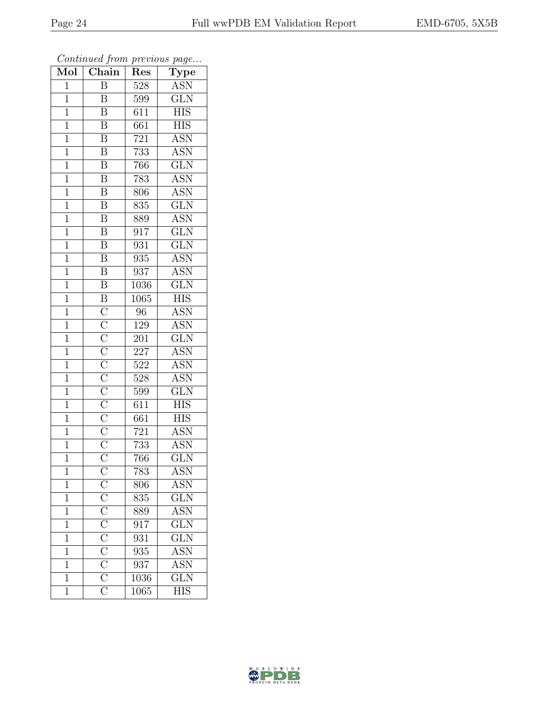| $\overline{\text{Mol}}$ | Chain                                                                                                                                                                                                                                             | Res              | $\mathrm{Type}$         |
|-------------------------|---------------------------------------------------------------------------------------------------------------------------------------------------------------------------------------------------------------------------------------------------|------------------|-------------------------|
| $\overline{1}$          | $\overline{\mathrm{B}}$                                                                                                                                                                                                                           | 528              | <b>ASN</b>              |
| $\mathbf 1$             | B                                                                                                                                                                                                                                                 | 599              | $\overline{\text{GLN}}$ |
| $\overline{1}$          | $\overline{\mathrm{B}}$                                                                                                                                                                                                                           | $\overline{611}$ | $\overline{HIS}$        |
| $\mathbf{1}$            | $\boldsymbol{\mathrm{B}}$                                                                                                                                                                                                                         | 661              | <b>HIS</b>              |
| $\mathbf{1}$            | $\overline{\mathrm{B}}$                                                                                                                                                                                                                           | $\overline{721}$ | <b>ASN</b>              |
| $\mathbf 1$             | $\overline{\mathbf{B}}$                                                                                                                                                                                                                           | 733              | <b>ASN</b>              |
| $\overline{1}$          | $\overline{\mathrm{B}}$                                                                                                                                                                                                                           | 766              | $\overline{\text{GLN}}$ |
| $\mathbf{1}$            | $\overline{\mathrm{B}}$                                                                                                                                                                                                                           | 783              | <b>ASN</b>              |
| $\mathbf{1}$            | $\overline{\mathrm{B}}$                                                                                                                                                                                                                           | 806              | <b>ASN</b>              |
| $\overline{1}$          | $\overline{\mathrm{B}}$                                                                                                                                                                                                                           | 835              | $\overline{\text{GLN}}$ |
| $\overline{1}$          | $\overline{\rm B}$                                                                                                                                                                                                                                | 889              | <b>ASN</b>              |
| $\overline{1}$          | $\overline{\mathrm{B}}$                                                                                                                                                                                                                           | $\overline{917}$ | $\overline{\text{GLN}}$ |
| $\overline{1}$          | $\overline{\mathrm{B}}$                                                                                                                                                                                                                           | 931              | $\overline{\text{GLN}}$ |
| $\mathbf 1$             | $\overline{\text{B}}$                                                                                                                                                                                                                             | 935              | <b>ASN</b>              |
| $\overline{1}$          | $\overline{\mathbf{B}}$                                                                                                                                                                                                                           | 937              | <b>ASN</b>              |
| $\overline{1}$          | $\overline{\mathrm{B}}$                                                                                                                                                                                                                           | 1036             | $\overline{\text{GLN}}$ |
| $\overline{1}$          | $\overline{B}$                                                                                                                                                                                                                                    | 1065             | $\overline{\text{HIS}}$ |
| $\mathbf{1}$            |                                                                                                                                                                                                                                                   | 96               | <b>ASN</b>              |
| $\mathbf{1}$            |                                                                                                                                                                                                                                                   | 129              | <b>ASN</b>              |
| $\mathbf{1}$            | $\overline{\text{C}}$ $\overline{\text{C}}$ $\overline{\text{C}}$ $\overline{\text{C}}$ $\overline{\text{C}}$ $\overline{\text{C}}$ $\overline{\text{C}}$ $\overline{\text{C}}$ $\overline{\text{C}}$ $\overline{\text{C}}$ $\overline{\text{C}}$ | 201              | $\overline{\text{GLN}}$ |
| $\mathbf{1}$            |                                                                                                                                                                                                                                                   | 227              | <b>ASN</b>              |
| $\overline{1}$          |                                                                                                                                                                                                                                                   | 522              | <b>ASN</b>              |
| $\mathbf{1}$            |                                                                                                                                                                                                                                                   | 528              | $\overline{\text{ASN}}$ |
| $\mathbf{1}$            |                                                                                                                                                                                                                                                   | 599              | $\overline{\text{GLN}}$ |
| $\mathbf{1}$            |                                                                                                                                                                                                                                                   | 611              | <b>HIS</b>              |
| $\overline{1}$          |                                                                                                                                                                                                                                                   | 661              | <b>HIS</b>              |
| $\overline{1}$          |                                                                                                                                                                                                                                                   | 721              | $\overline{\text{ASN}}$ |
| $\mathbf 1$             |                                                                                                                                                                                                                                                   | 733              | <b>ASN</b>              |
| $\mathbf{1}$            |                                                                                                                                                                                                                                                   | 766              | $\overline{\text{GLN}}$ |
| $\mathbf 1$             |                                                                                                                                                                                                                                                   | 783              | <b>ASN</b>              |
| $\mathbf 1$             |                                                                                                                                                                                                                                                   | 806              | ASN                     |
| $\mathbf{1}$            |                                                                                                                                                                                                                                                   | $\overline{8}35$ | $\overline{\text{GLN}}$ |
| $\mathbf{1}$            | $\frac{\overline{C}}{\overline{C}}$ $\frac{\overline{C}}{\overline{C}}$ $\frac{\overline{C}}{\overline{C}}$ $\frac{\overline{C}}{\overline{C}}$ $\frac{\overline{C}}{\overline{C}}$                                                               | 889              | ASN                     |
| $\mathbf 1$             |                                                                                                                                                                                                                                                   | $\overline{917}$ | $\overline{\text{GLN}}$ |
| $\mathbf{1}$            |                                                                                                                                                                                                                                                   | 931              | $\overline{\text{GLN}}$ |
| $\mathbf 1$             |                                                                                                                                                                                                                                                   | 935              | $\overline{\text{ASN}}$ |
| $\mathbf{1}$            |                                                                                                                                                                                                                                                   | 937              | $\overline{\text{ASN}}$ |
| $\mathbf{1}$            |                                                                                                                                                                                                                                                   | 1036             | $\overline{\text{GLN}}$ |
| $\mathbf{1}$            |                                                                                                                                                                                                                                                   | 1065             | <b>HIS</b>              |

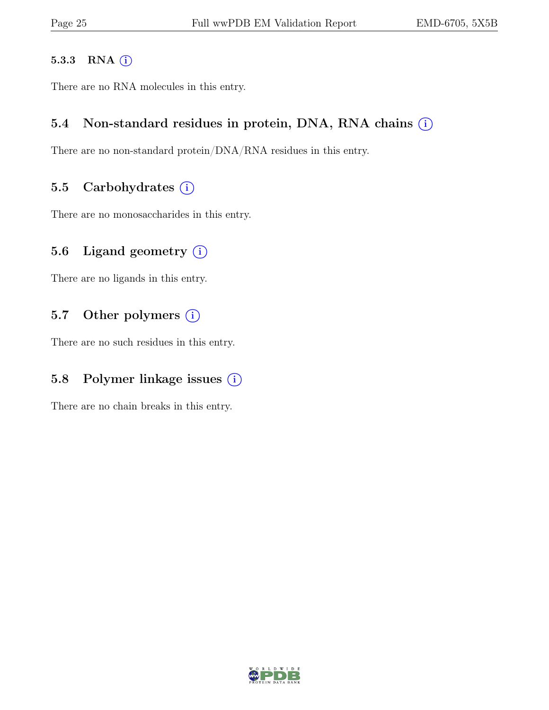#### 5.3.3 RNA (i)

There are no RNA molecules in this entry.

#### 5.4 Non-standard residues in protein, DNA, RNA chains  $(i)$

There are no non-standard protein/DNA/RNA residues in this entry.

#### 5.5 Carbohydrates  $(i)$

There are no monosaccharides in this entry.

#### 5.6 Ligand geometry  $(i)$

There are no ligands in this entry.

#### 5.7 Other polymers  $(i)$

There are no such residues in this entry.

#### 5.8 Polymer linkage issues  $(i)$

There are no chain breaks in this entry.

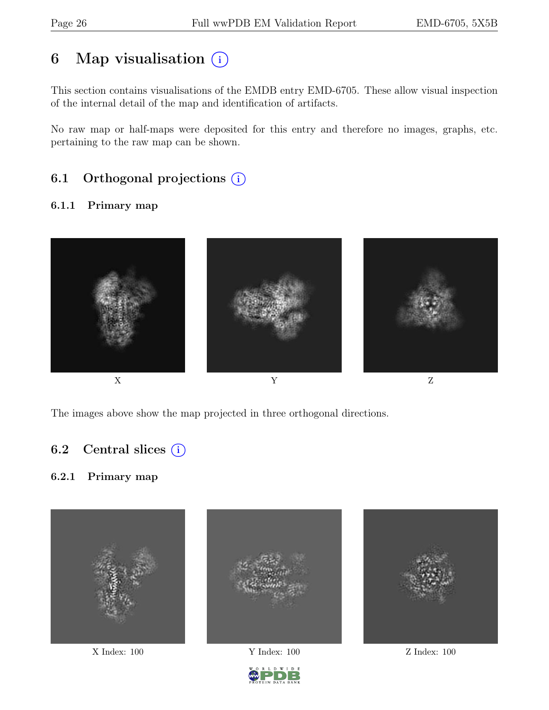# 6 Map visualisation  $(i)$

This section contains visualisations of the EMDB entry EMD-6705. These allow visual inspection of the internal detail of the map and identification of artifacts.

No raw map or half-maps were deposited for this entry and therefore no images, graphs, etc. pertaining to the raw map can be shown.

### 6.1 Orthogonal projections  $(i)$

#### 6.1.1 Primary map



The images above show the map projected in three orthogonal directions.

#### 6.2 Central slices  $(i)$

#### 6.2.1 Primary map



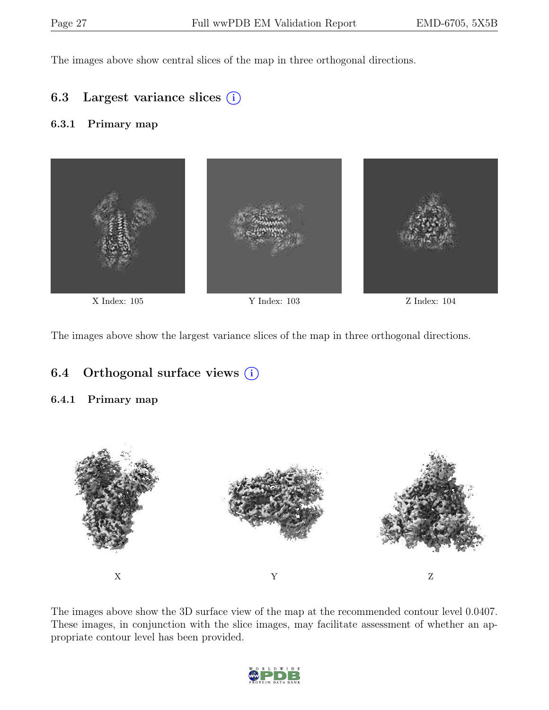The images above show central slices of the map in three orthogonal directions.

#### 6.3 Largest variance slices  $(i)$

#### 6.3.1 Primary map



The images above show the largest variance slices of the map in three orthogonal directions.

### 6.4 Orthogonal surface views  $(i)$

#### 6.4.1 Primary map



The images above show the 3D surface view of the map at the recommended contour level 0.0407. These images, in conjunction with the slice images, may facilitate assessment of whether an appropriate contour level has been provided.

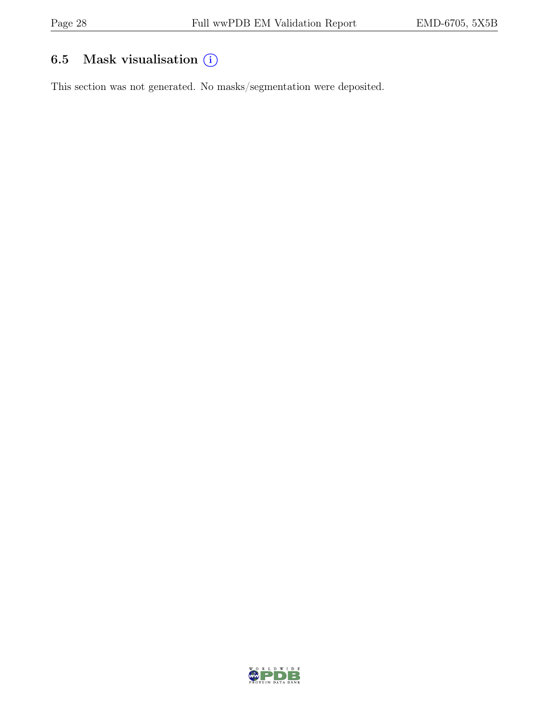## 6.5 Mask visualisation  $(i)$

This section was not generated. No masks/segmentation were deposited.

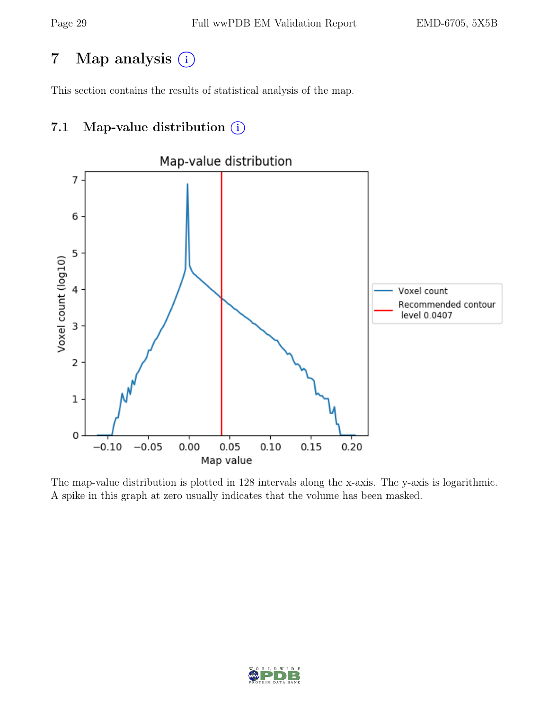# 7 Map analysis (i)

This section contains the results of statistical analysis of the map.

### 7.1 Map-value distribution  $(i)$



The map-value distribution is plotted in 128 intervals along the x-axis. The y-axis is logarithmic. A spike in this graph at zero usually indicates that the volume has been masked.

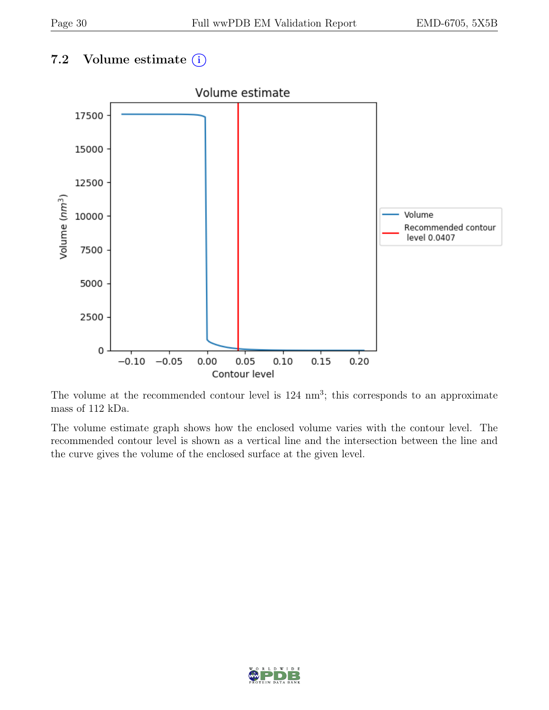### 7.2 Volume estimate  $(i)$



The volume at the recommended contour level is  $124 \text{ nm}^3$ ; this corresponds to an approximate mass of 112 kDa.

The volume estimate graph shows how the enclosed volume varies with the contour level. The recommended contour level is shown as a vertical line and the intersection between the line and the curve gives the volume of the enclosed surface at the given level.

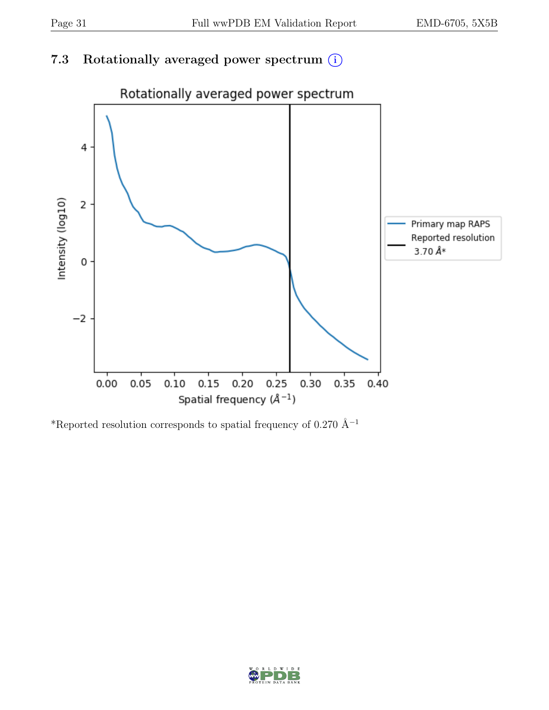### 7.3 Rotationally averaged power spectrum  $(i)$



\*Reported resolution corresponds to spatial frequency of 0.270 Å<sup>-1</sup>

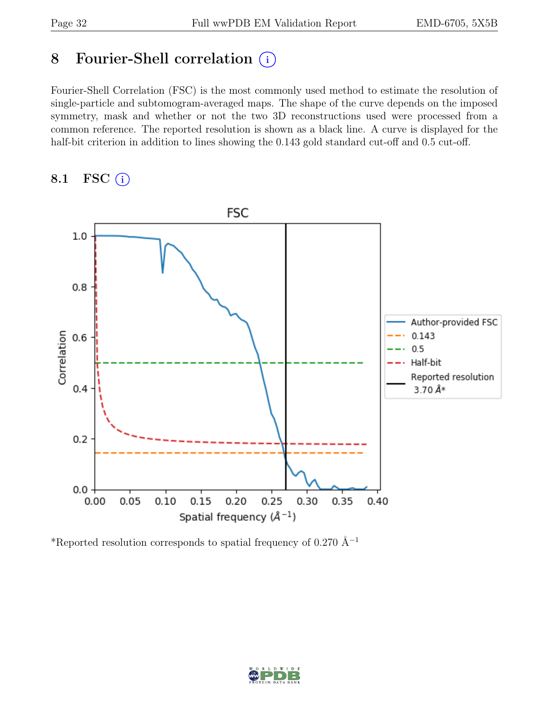## 8 Fourier-Shell correlation (i)

Fourier-Shell Correlation (FSC) is the most commonly used method to estimate the resolution of single-particle and subtomogram-averaged maps. The shape of the curve depends on the imposed symmetry, mask and whether or not the two 3D reconstructions used were processed from a common reference. The reported resolution is shown as a black line. A curve is displayed for the half-bit criterion in addition to lines showing the 0.143 gold standard cut-off and 0.5 cut-off.

#### 8.1 FSC  $(i)$



\*Reported resolution corresponds to spatial frequency of 0.270 Å<sup>-1</sup>

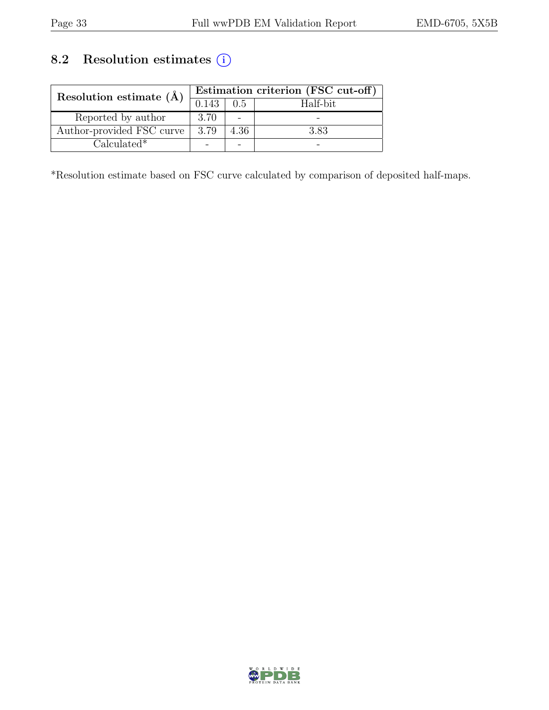## 8.2 Resolution estimates  $\overline{()}$

| Resolution estimate $(\AA)$ | Estimation criterion (FSC cut-off) |      |          |  |
|-----------------------------|------------------------------------|------|----------|--|
|                             | 0.143                              | 0.5  | Half-bit |  |
| Reported by author          | 3.70                               |      |          |  |
| Author-provided FSC curve   | 3.79                               | 4.36 | 3.83     |  |
| $Calculated*$               |                                    |      |          |  |

\*Resolution estimate based on FSC curve calculated by comparison of deposited half-maps.

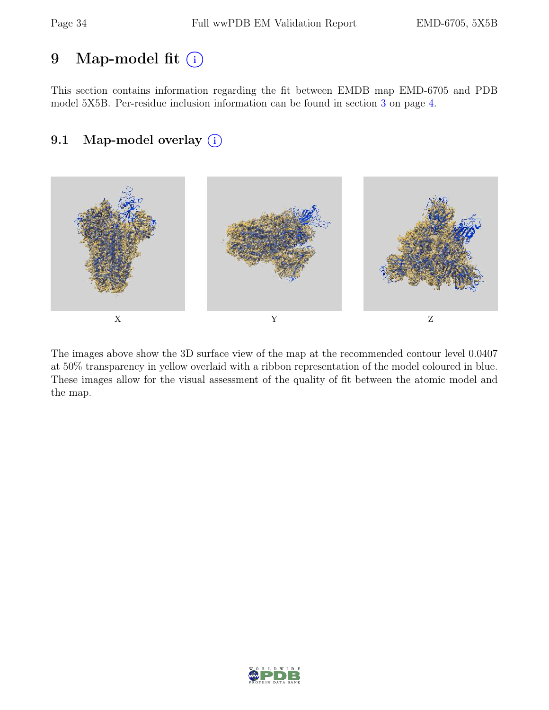## 9 Map-model fit  $(i)$

This section contains information regarding the fit between EMDB map EMD-6705 and PDB model 5X5B. Per-residue inclusion information can be found in section [3](#page-3-0) on page [4.](#page-3-0)

### 9.1 Map-model overlay (i)



The images above show the 3D surface view of the map at the recommended contour level 0.0407 at 50% transparency in yellow overlaid with a ribbon representation of the model coloured in blue. These images allow for the visual assessment of the quality of fit between the atomic model and the map.